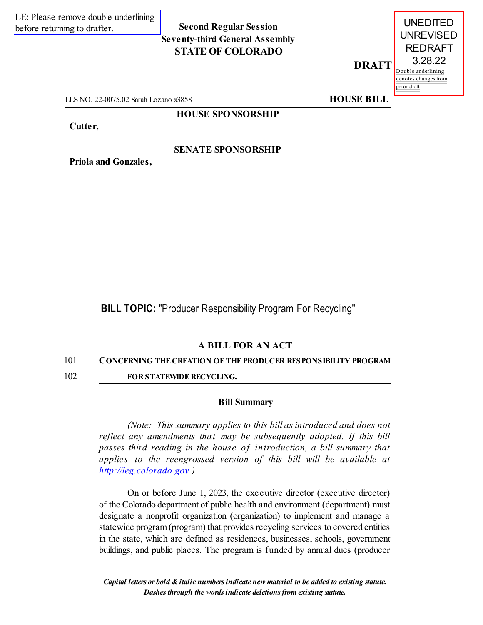# **Second Regular Session Seventy-third General Assembly STATE OF COLORADO**

**DRAFT**



LLS NO. 22-0075.02 Sarah Lozano x3858 **HOUSE BILL** 

**HOUSE SPONSORSHIP**

**Cutter,**

**SENATE SPONSORSHIP**

**Priola and Gonzales,**

**BILL TOPIC:** "Producer Responsibility Program For Recycling"

# **A BILL FOR AN ACT**

## 101 **CONCERNING THECREATION OF THEPRODUCER RESPONSIBILITY PROGRAM**

102 **FOR STATEWIDE RECYCLING.** 

#### **Bill Summary**

*(Note: This summary applies to this bill as introduced and does not reflect any amendments that may be subsequently adopted. If this bill passes third reading in the house of introduction, a bill summary that applies to the reengrossed version of this bill will be available at [http://leg.colorado.gov](http://leg.colorado.gov/).)*

On or before June 1, 2023, the executive director (executive director) of the Colorado department of public health and environment (department) must designate a nonprofit organization (organization) to implement and manage a statewide program(program) that provides recycling services to covered entities in the state, which are defined as residences, businesses, schools, government buildings, and public places. The program is funded by annual dues (producer

*Capital letters or bold & italic numbersindicate new material to be added to existing statute. Dashesthrough the wordsindicate deletionsfrom existing statute.*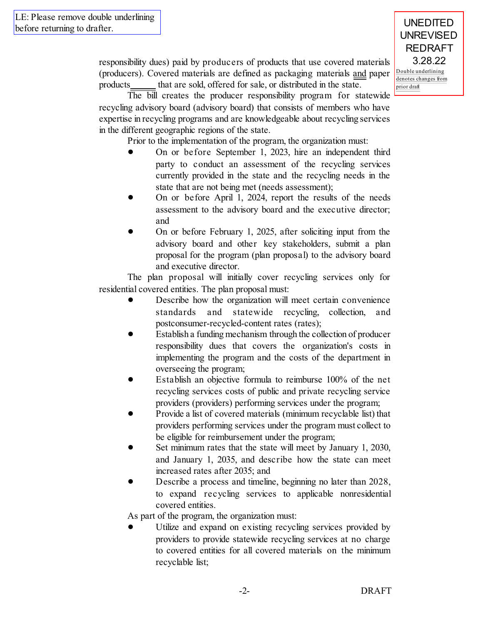responsibility dues) paid by producers of products that use covered materials (producers). Covered materials are defined as packaging materials and paper products that are sold, offered for sale, or distributed in the state.

The bill creates the producer responsibility program for statewide recycling advisory board (advisory board) that consists of members who have expertise in recycling programs and are knowledgeable about recycling services in the different geographic regions of the state.

Prior to the implementation of the program, the organization must:

- ! On or before September 1, 2023, hire an independent third party to conduct an assessment of the recycling services currently provided in the state and the recycling needs in the state that are not being met (needs assessment);
- ! On or before April 1, 2024, report the results of the needs assessment to the advisory board and the executive director; and
- ! On or before February 1, 2025, after soliciting input from the advisory board and other key stakeholders, submit a plan proposal for the program (plan proposal) to the advisory board and executive director.

The plan proposal will initially cover recycling services only for residential covered entities. The plan proposal must:

- Describe how the organization will meet certain convenience standards and statewide recycling, collection, and postconsumer-recycled-content rates (rates);
- ! Establish a funding mechanism through the collection of producer responsibility dues that covers the organization's costs in implementing the program and the costs of the department in overseeing the program;
- ! Establish an objective formula to reimburse 100% of the net recycling services costs of public and private recycling service providers (providers) performing services under the program;
- ! Provide a list of covered materials (minimum recyclable list) that providers performing services under the program must collect to be eligible for reimbursement under the program;
- Set minimum rates that the state will meet by January 1, 2030, and January 1, 2035, and describe how the state can meet increased rates after 2035; and
- ! Describe a process and timeline, beginning no later than 2028, to expand recycling services to applicable nonresidential covered entities.

As part of the program, the organization must:

! Utilize and expand on existing recycling services provided by providers to provide statewide recycling services at no charge to covered entities for all covered materials on the minimum recyclable list;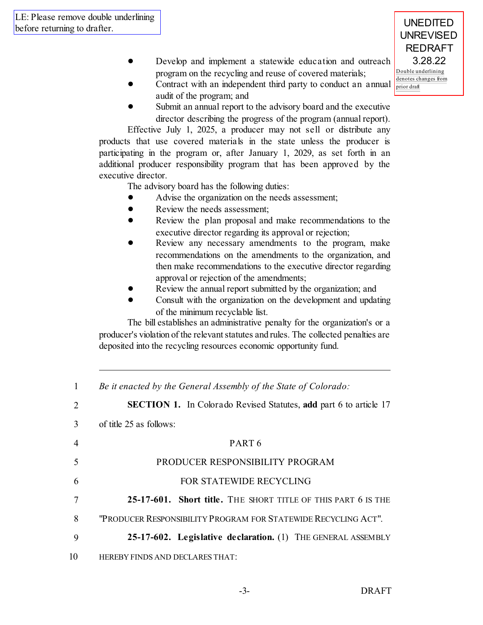- Double underlining denotes changes from Develop and implement a statewide education and outreach program on the recycling and reuse of covered materials;
- ! Contract with an independent third party to conduct an annual audit of the program; and
- Submit an annual report to the advisory board and the executive director describing the progress of the program (annual report).

Effective July 1, 2025, a producer may not sell or distribute any products that use covered materials in the state unless the producer is participating in the program or, after January 1, 2029, as set forth in an additional producer responsibility program that has been approved by the executive director.

The advisory board has the following duties:

- Advise the organization on the needs assessment;
- Review the needs assessment;
- Review the plan proposal and make recommendations to the executive director regarding its approval or rejection;
- Review any necessary amendments to the program, make recommendations on the amendments to the organization, and then make recommendations to the executive director regarding approval or rejection of the amendments;
- Review the annual report submitted by the organization; and
- ! Consult with the organization on the development and updating of the minimum recyclable list.

The bill establishes an administrative penalty for the organization's or a producer's violation of the relevant statutes and rules. The collected penalties are deposited into the recycling resources economic opportunity fund.

 *Be it enacted by the General Assembly of the State of Colorado:* **SECTION 1.** In Colorado Revised Statutes, **add** part 6 to article 17 of title 25 as follows: 4 PART 6 PRODUCER RESPONSIBILITY PROGRAM FOR STATEWIDE RECYCLING **25-17-601. Short title.** THE SHORT TITLE OF THIS PART 6 IS THE "PRODUCER RESPONSIBILITY PROGRAM FOR STATEWIDERECYCLING ACT". **25-17-602. Legislative declaration.** (1) THE GENERAL ASSEMBLY HEREBY FINDS AND DECLARES THAT:

UNEDITED **UNREVISED** REDRAFT 3.28.22

prior draft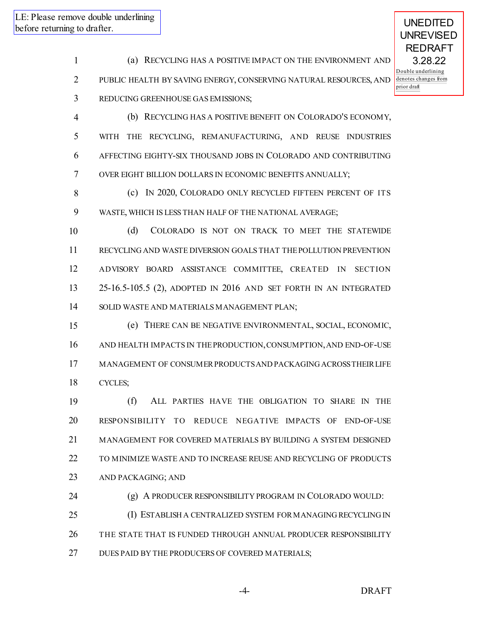UNEDITED

 (a) RECYCLING HAS A POSITIVE IMPACT ON THE ENVIRONMENT AND PUBLIC HEALTH BY SAVING ENERGY, CONSERVING NATURAL RESOURCES, AND REDUCING GREENHOUSE GAS EMISSIONS;

 (b) RECYCLING HAS A POSITIVE BENEFIT ON COLORADO'S ECONOMY, WITH THE RECYCLING, REMANUFACTURING, AND REUSE INDUSTRIES AFFECTING EIGHTY-SIX THOUSAND JOBS IN COLORADO AND CONTRIBUTING OVER EIGHT BILLION DOLLARS IN ECONOMIC BENEFITS ANNUALLY;

 (c) IN 2020, COLORADO ONLY RECYCLED FIFTEEN PERCENT OF ITS WASTE, WHICH IS LESS THAN HALF OF THE NATIONAL AVERAGE;

 (d) COLORADO IS NOT ON TRACK TO MEET THE STATEWIDE RECYCLING AND WASTE DIVERSION GOALS THAT THEPOLLUTION PREVENTION ADVISORY BOARD ASSISTANCE COMMITTEE, CREATED IN SECTION 25-16.5-105.5 (2), ADOPTED IN 2016 AND SET FORTH IN AN INTEGRATED SOLID WASTE AND MATERIALS MANAGEMENT PLAN;

 (e) THERE CAN BE NEGATIVE ENVIRONMENTAL, SOCIAL, ECONOMIC, AND HEALTH IMPACTS IN THEPRODUCTION,CONSUMPTION,AND END-OF-USE MANAGEMENT OF CONSUMERPRODUCTSAND PACKAGING ACROSSTHEIRLIFE CYCLES;

 (f) ALL PARTIES HAVE THE OBLIGATION TO SHARE IN THE RESPONSIBILITY TO REDUCE NEGATIVE IMPACTS OF END-OF-USE MANAGEMENT FOR COVERED MATERIALS BY BUILDING A SYSTEM DESIGNED TO MINIMIZE WASTE AND TO INCREASE REUSE AND RECYCLING OF PRODUCTS AND PACKAGING; AND

(g) A PRODUCER RESPONSIBILITY PROGRAM IN COLORADO WOULD:

 (I) ESTABLISH A CENTRALIZED SYSTEM FORMANAGING RECYCLING IN THE STATE THAT IS FUNDED THROUGH ANNUAL PRODUCER RESPONSIBILITY DUES PAID BY THE PRODUCERS OF COVERED MATERIALS;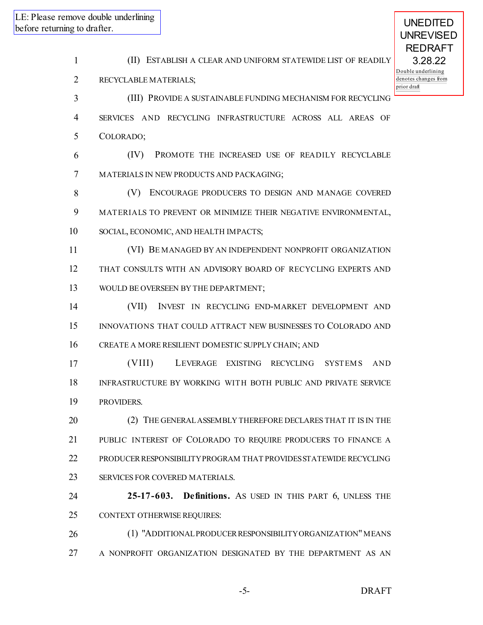(II) ESTABLISH A CLEAR AND UNIFORM STATEWIDE LIST OF READILY RECYCLABLE MATERIALS; (III) PROVIDE A SUSTAINABLE FUNDING MECHANISM FOR RECYCLING SERVICES AND RECYCLING INFRASTRUCTURE ACROSS ALL AREAS OF COLORADO; (IV) PROMOTE THE INCREASED USE OF READILY RECYCLABLE MATERIALS IN NEW PRODUCTS AND PACKAGING; (V) ENCOURAGE PRODUCERS TO DESIGN AND MANAGE COVERED MATERIALS TO PREVENT OR MINIMIZE THEIR NEGATIVE ENVIRONMENTAL, SOCIAL, ECONOMIC, AND HEALTH IMPACTS; (VI) BE MANAGED BY AN INDEPENDENT NONPROFIT ORGANIZATION THAT CONSULTS WITH AN ADVISORY BOARD OF RECYCLING EXPERTS AND 13 WOULD BE OVERSEEN BY THE DEPARTMENT; (VII) INVEST IN RECYCLING END-MARKET DEVELOPMENT AND INNOVATIONS THAT COULD ATTRACT NEW BUSINESSES TO COLORADO AND CREATE A MORE RESILIENT DOMESTIC SUPPLY CHAIN; AND (VIII) LEVERAGE EXISTING RECYCLING SYSTEMS AND INFRASTRUCTURE BY WORKING WITH BOTH PUBLIC AND PRIVATE SERVICE PROVIDERS. (2) THE GENERALASSEMBLY THEREFORE DECLARES THAT IT IS IN THE PUBLIC INTEREST OF COLORADO TO REQUIRE PRODUCERS TO FINANCE A PRODUCERRESPONSIBILITYPROGRAM THAT PROVIDESSTATEWIDE RECYCLING SERVICES FOR COVERED MATERIALS. **25-17-603. Definitions.** AS USED IN THIS PART 6, UNLESS THE CONTEXT OTHERWISE REQUIRES: 26 (1) "ADDITIONAL PRODUCER RESPONSIBILITY ORGANIZATION" MEANS 27 A NONPROFIT ORGANIZATION DESIGNATED BY THE DEPARTMENT AS AN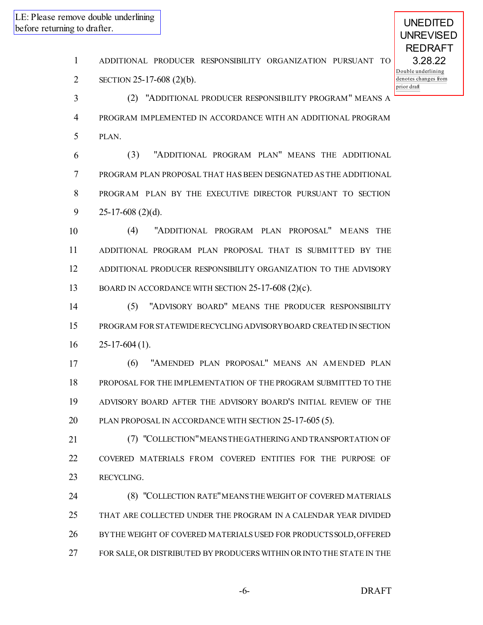ADDITIONAL PRODUCER RESPONSIBILITY ORGANIZATION PURSUANT TO

SECTION 25-17-608 (2)(b).

 (2) "ADDITIONAL PRODUCER RESPONSIBILITY PROGRAM" MEANS A PROGRAM IMPLEMENTED IN ACCORDANCE WITH AN ADDITIONAL PROGRAM PLAN.

 (3) "ADDITIONAL PROGRAM PLAN" MEANS THE ADDITIONAL PROGRAM PLAN PROPOSAL THAT HAS BEEN DESIGNATED AS THE ADDITIONAL PROGRAM PLAN BY THE EXECUTIVE DIRECTOR PURSUANT TO SECTION 25-17-608 (2)(d).

10 (4) "ADDITIONAL PROGRAM PLAN PROPOSAL" MEANS THE ADDITIONAL PROGRAM PLAN PROPOSAL THAT IS SUBMITTED BY THE ADDITIONAL PRODUCER RESPONSIBILITY ORGANIZATION TO THE ADVISORY BOARD IN ACCORDANCE WITH SECTION 25-17-608 (2)(c).

 (5) "ADVISORY BOARD" MEANS THE PRODUCER RESPONSIBILITY PROGRAM FORSTATEWIDERECYCLING ADVISORYBOARD CREATED IN SECTION  $16 \qquad 25-17-604(1).$ 

 (6) "AMENDED PLAN PROPOSAL" MEANS AN AM ENDED PLAN PROPOSAL FOR THE IMPLEMENTATION OF THE PROGRAM SUBMITTED TO THE ADVISORY BOARD AFTER THE ADVISORY BOARD'S INITIAL REVIEW OF THE PLAN PROPOSAL IN ACCORDANCE WITH SECTION 25-17-605 (5).

 (7) "COLLECTION"MEANSTHEGATHERING AND TRANSPORTATION OF COVERED MATERIALS FROM COVERED ENTITIES FOR THE PURPOSE OF RECYCLING.

 (8) "COLLECTION RATE"MEANSTHEWEIGHT OF COVERED MATERIALS THAT ARE COLLECTED UNDER THE PROGRAM IN A CALENDAR YEAR DIVIDED BYTHE WEIGHT OF COVERED MATERIALS USED FOR PRODUCTSSOLD,OFFERED FOR SALE, OR DISTRIBUTED BY PRODUCERS WITHIN ORINTO THE STATE IN THE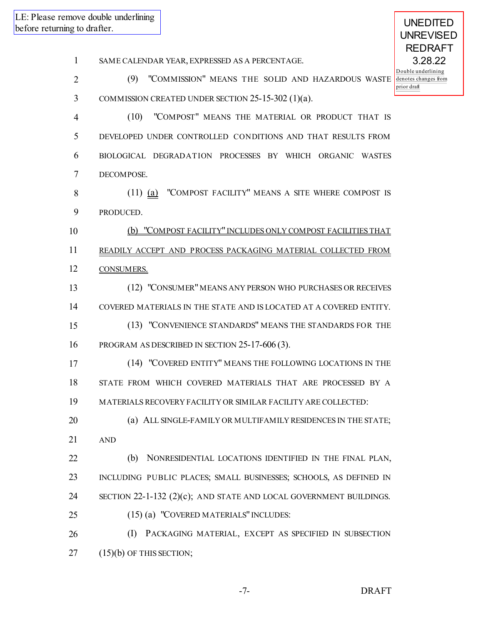SAME CALENDAR YEAR, EXPRESSED AS A PERCENTAGE.

 (9) "COMMISSION" MEANS THE SOLID AND HAZARDOUS WASTE COMMISSION CREATED UNDER SECTION 25-15-302 (1)(a).

 (10) "COMPOST" MEANS THE MATERIAL OR PRODUCT THAT IS DEVELOPED UNDER CONTROLLED CONDITIONS AND THAT RESULTS FROM BIOLOGICAL DEGRADATION PROCESSES BY WHICH ORGANIC WASTES DECOMPOSE.

 (11) (a) "COMPOST FACILITY" MEANS A SITE WHERE COMPOST IS PRODUCED.

 (b) "COMPOST FACILITY" INCLUDES ONLY COMPOST FACILITIES THAT READILY ACCEPT AND PROCESS PACKAGING MATERIAL COLLECTED FROM 12 CONSUMERS.

 (12) "CONSUMER"MEANS ANY PERSON WHO PURCHASES OR RECEIVES COVERED MATERIALS IN THE STATE AND IS LOCATED AT A COVERED ENTITY. (13) "CONVENIENCE STANDARDS" MEANS THE STANDARDS FOR THE

PROGRAM AS DESCRIBED IN SECTION 25-17-606 (3).

 (14) "COVERED ENTITY" MEANS THE FOLLOWING LOCATIONS IN THE STATE FROM WHICH COVERED MATERIALS THAT ARE PROCESSED BY A MATERIALS RECOVERY FACILITY OR SIMILAR FACILITY ARE COLLECTED:

 (a) ALL SINGLE-FAMILY OR MULTIFAMILY RESIDENCES IN THE STATE; AND

 (b) NONRESIDENTIAL LOCATIONS IDENTIFIED IN THE FINAL PLAN, INCLUDING PUBLIC PLACES; SMALL BUSINESSES; SCHOOLS, AS DEFINED IN SECTION 22-1-132 (2)(c); AND STATE AND LOCAL GOVERNMENT BUILDINGS. (15) (a) "COVERED MATERIALS" INCLUDES:

 (I) PACKAGING MATERIAL, EXCEPT AS SPECIFIED IN SUBSECTION (15)(b) OF THIS SECTION;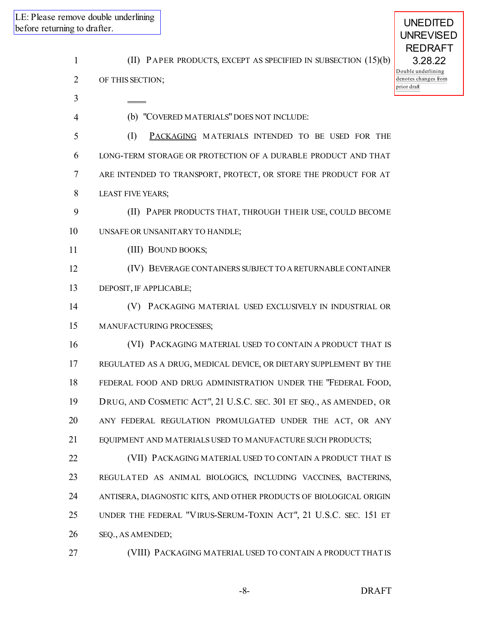| ng to drafter.      | move double underlining                                                            | <b>UNEDITED</b>                                                                                            |
|---------------------|------------------------------------------------------------------------------------|------------------------------------------------------------------------------------------------------------|
| 1<br>$\overline{2}$ | (II) PAPER PRODUCTS, EXCEPT AS SPECIFIED IN SUBSECTION (15)(b)<br>OF THIS SECTION; | <b>UNREVISED</b><br><b>REDRAFT</b><br>3.28.22<br>Double underlining<br>denotes changes from<br>prior draft |
| 3                   | (b) "COVERED MATERIALS" DOES NOT INCLUDE:                                          |                                                                                                            |
| 4                   |                                                                                    |                                                                                                            |
| 5                   | (I)<br>PACKAGING MATERIALS INTENDED TO BE USED FOR THE                             |                                                                                                            |
| 6                   | LONG-TERM STORAGE OR PROTECTION OF A DURABLE PRODUCT AND THAT                      |                                                                                                            |
| 7                   | ARE INTENDED TO TRANSPORT, PROTECT, OR STORE THE PRODUCT FOR AT                    |                                                                                                            |
| 8                   | <b>LEAST FIVE YEARS;</b>                                                           |                                                                                                            |
| 9                   | (II) PAPER PRODUCTS THAT, THROUGH THEIR USE, COULD BECOME                          |                                                                                                            |
| 10                  | UNSAFE OR UNSANITARY TO HANDLE;                                                    |                                                                                                            |
| 11                  | (III) BOUND BOOKS;                                                                 |                                                                                                            |
| 12                  | (IV) BEVERAGE CONTAINERS SUBJECT TO A RETURNABLE CONTAINER                         |                                                                                                            |
| 13                  | DEPOSIT, IF APPLICABLE;                                                            |                                                                                                            |
| 14                  | PACKAGING MATERIAL USED EXCLUSIVELY IN INDUSTRIAL OR<br>(V)                        |                                                                                                            |
| 15                  | MANUFACTURING PROCESSES;                                                           |                                                                                                            |
| 16                  | (VI) PACKAGING MATERIAL USED TO CONTAIN A PRODUCT THAT IS                          |                                                                                                            |
| 17                  | REGULATED AS A DRUG, MEDICAL DEVICE, OR DIETARY SUPPLEMENT BY THE                  |                                                                                                            |
| 18                  | FEDERAL FOOD AND DRUG ADMINISTRATION UNDER THE "FEDERAL FOOD,                      |                                                                                                            |
| 19                  | DRUG, AND COSMETIC ACT", 21 U.S.C. SEC. 301 ET SEQ., AS AMENDED, OR                |                                                                                                            |
| 20                  | ANY FEDERAL REGULATION PROMULGATED UNDER THE ACT, OR ANY                           |                                                                                                            |
| 21                  | EQUIPMENT AND MATERIALS USED TO MANUFACTURE SUCH PRODUCTS;                         |                                                                                                            |
| 22                  | (VII) PACKAGING MATERIAL USED TO CONTAIN A PRODUCT THAT IS                         |                                                                                                            |
| 23                  | REGULATED AS ANIMAL BIOLOGICS, INCLUDING VACCINES, BACTERINS,                      |                                                                                                            |
| 24                  | ANTISERA, DIAGNOSTIC KITS, AND OTHER PRODUCTS OF BIOLOGICAL ORIGIN                 |                                                                                                            |
| 25                  | UNDER THE FEDERAL "VIRUS-SERUM-TOXIN ACT", 21 U.S.C. SEC. 151 ET                   |                                                                                                            |
| 26                  | SEQ., AS AMENDED;                                                                  |                                                                                                            |
| 27                  | (VIII) PACKAGING MATERIAL USED TO CONTAIN A PRODUCT THAT IS                        |                                                                                                            |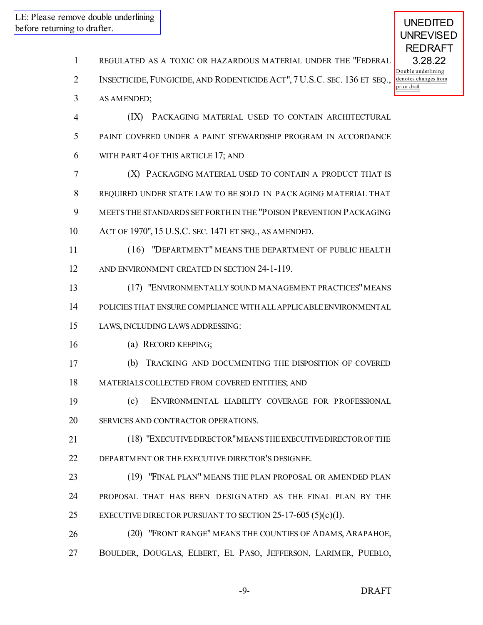REGULATED AS A TOXIC OR HAZARDOUS MATERIAL UNDER THE "FEDERAL INSECTICIDE, FUNGICIDE, AND RODENTICIDE ACT", 7 U.S.C. SEC. 136 ET SEQ., AS AMENDED; (IX) PACKAGING MATERIAL USED TO CONTAIN ARCHITECTURAL PAINT COVERED UNDER A PAINT STEWARDSHIP PROGRAM IN ACCORDANCE WITH PART 4 OF THIS ARTICLE 17; AND (X) PACKAGING MATERIAL USED TO CONTAIN A PRODUCT THAT IS REQUIRED UNDER STATE LAW TO BE SOLD IN PACKAGING MATERIAL THAT MEETS THE STANDARDS SET FORTH IN THE "POISON PREVENTION PACKAGING ACT OF 1970", 15 U.S.C. SEC. 1471 ET SEQ., AS AMENDED. (16) "DEPARTMENT" MEANS THE DEPARTMENT OF PUBLIC HEALTH AND ENVIRONMENT CREATED IN SECTION 24-1-119. 13 (17) "ENVIRONMENTALLY SOUND MANAGEMENT PRACTICES" MEANS POLICIES THAT ENSURE COMPLIANCE WITH ALLAPPLICABLEENVIRONMENTAL LAWS, INCLUDING LAWS ADDRESSING: (a) RECORD KEEPING; (b) TRACKING AND DOCUMENTING THE DISPOSITION OF COVERED MATERIALS COLLECTED FROM COVERED ENTITIES; AND (c) ENVIRONMENTAL LIABILITY COVERAGE FOR PROFESSIONAL SERVICES AND CONTRACTOR OPERATIONS. (18) "EXECUTIVEDIRECTOR"MEANSTHEEXECUTIVEDIRECTOROF THE DEPARTMENT OR THE EXECUTIVE DIRECTOR'S DESIGNEE. (19) "FINAL PLAN" MEANS THE PLAN PROPOSAL OR AMENDED PLAN PROPOSAL THAT HAS BEEN DESIGNATED AS THE FINAL PLAN BY THE EXECUTIVE DIRECTOR PURSUANT TO SECTION 25-17-605 (5)(c)(I). (20) "FRONT RANGE" MEANS THE COUNTIES OF ADAMS, ARAPAHOE, BOULDER, DOUGLAS, ELBERT, EL PASO, JEFFERSON, LARIMER, PUEBLO, -9- DRAFT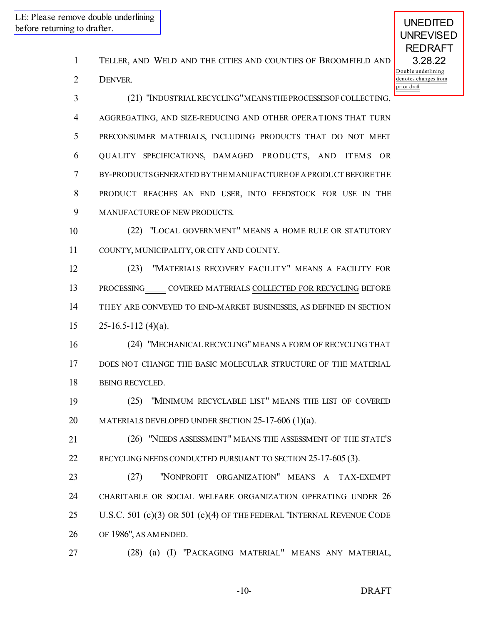- TELLER, AND WELD AND THE CITIES AND COUNTIES OF BROOMFIELD AND
- DENVER.

| 3              | (21) "INDUSTRIAL RECYCLING" MEANS THE PROCESSES OF COLLECTING,            |
|----------------|---------------------------------------------------------------------------|
| $\overline{4}$ | AGGREGATING, AND SIZE-REDUCING AND OTHER OPERATIONS THAT TURN             |
| 5              | PRECONSUMER MATERIALS, INCLUDING PRODUCTS THAT DO NOT MEET                |
| 6              | QUALITY SPECIFICATIONS, DAMAGED PRODUCTS, AND ITEMS OR                    |
| 7              | BY-PRODUCTSGENERATED BY THE MANUFACTURE OF A PRODUCT BEFORE THE           |
| 8              | PRODUCT REACHES AN END USER, INTO FEEDSTOCK FOR USE IN THE                |
| 9              | MANUFACTURE OF NEW PRODUCTS.                                              |
| 10             | (22) "LOCAL GOVERNMENT" MEANS A HOME RULE OR STATUTORY                    |
| 11             | COUNTY, MUNICIPALITY, OR CITY AND COUNTY.                                 |
| 12             | "MATERIALS RECOVERY FACILITY" MEANS A FACILITY FOR<br>(23)                |
| 13             | PROCESSING COVERED MATERIALS COLLECTED FOR RECYCLING BEFORE               |
| 14             | THEY ARE CONVEYED TO END-MARKET BUSINESSES, AS DEFINED IN SECTION         |
| 15             | $25-16.5-112(4)(a)$ .                                                     |
| 16             | (24) "MECHANICAL RECYCLING" MEANS A FORM OF RECYCLING THAT                |
| 17             | DOES NOT CHANGE THE BASIC MOLECULAR STRUCTURE OF THE MATERIAL             |
| 18             | BEING RECYCLED.                                                           |
| 19             | (25) "MINIMUM RECYCLABLE LIST" MEANS THE LIST OF COVERED                  |
| 20             | MATERIALS DEVELOPED UNDER SECTION 25-17-606 (1)(a).                       |
| 21             | (26) "NEEDS ASSESSMENT" MEANS THE ASSESSMENT OF THE STATE'S               |
| 22             | RECYCLING NEEDS CONDUCTED PURSUANT TO SECTION 25-17-605 (3).              |
| 23             | "NONPROFIT ORGANIZATION" MEANS A TAX-EXEMPT<br>(27)                       |
| 24             | CHARITABLE OR SOCIAL WELFARE ORGANIZATION OPERATING UNDER 26              |
| 25             | U.S.C. 501 $(c)(3)$ OR 501 $(c)(4)$ OF THE FEDERAL "INTERNAL REVENUE CODE |
| 26             | OF 1986", AS AMENDED.                                                     |
| 27             | (28) (a) (I) "PACKAGING MATERIAL" MEANS ANY MATERIAL,                     |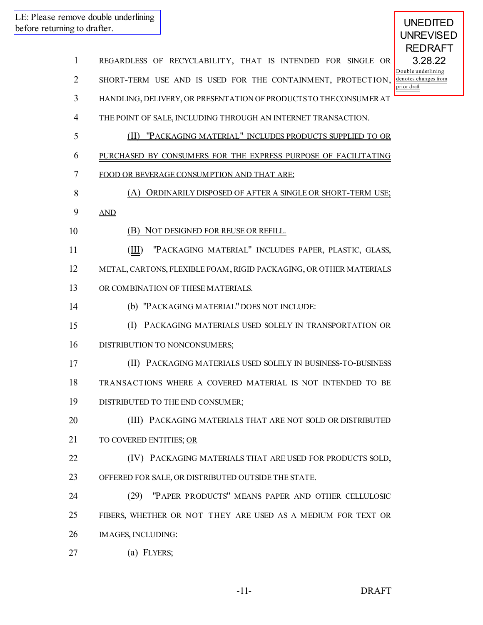- REGARDLESS OF RECYCLABILITY, THAT IS INTENDED FOR SINGLE OR SHORT-TERM USE AND IS USED FOR THE CONTAINMENT, PROTECTION, HANDLING, DELIVERY, OR PRESENTATION OF PRODUCTSTO THECONSUMERAT THE POINT OF SALE, INCLUDING THROUGH AN INTERNET TRANSACTION. (II) "PACKAGING MATERIAL" INCLUDES PRODUCTS SUPPLIED TO OR PURCHASED BY CONSUMERS FOR THE EXPRESS PURPOSE OF FACILITATING FOOD OR BEVERAGE CONSUMPTION AND THAT ARE: 8 (A) ORDINARILY DISPOSED OF AFTER A SINGLE OR SHORT-TERM USE: AND 10 (B) NOT DESIGNED FOR REUSE OR REFILL. (III) "PACKAGING MATERIAL" INCLUDES PAPER, PLASTIC, GLASS, METAL, CARTONS, FLEXIBLE FOAM, RIGID PACKAGING, OR OTHER MATERIALS 13 OR COMBINATION OF THESE MATERIALS. (b) "PACKAGING MATERIAL" DOES NOT INCLUDE: (I) PACKAGING MATERIALS USED SOLELY IN TRANSPORTATION OR 16 DISTRIBUTION TO NONCONSUMERS; (II) PACKAGING MATERIALS USED SOLELY IN BUSINESS-TO-BUSINESS TRANSACTIONS WHERE A COVERED MATERIAL IS NOT INTENDED TO BE DISTRIBUTED TO THE END CONSUMER; (III) PACKAGING MATERIALS THAT ARE NOT SOLD OR DISTRIBUTED TO COVERED ENTITIES; OR (IV) PACKAGING MATERIALS THAT ARE USED FOR PRODUCTS SOLD, OFFERED FOR SALE, OR DISTRIBUTED OUTSIDE THE STATE. (29) "PAPER PRODUCTS" MEANS PAPER AND OTHER CELLULOSIC FIBERS, WHETHER OR NOT THEY ARE USED AS A MEDIUM FOR TEXT OR IMAGES, INCLUDING:
- (a) FLYERS;

-11- DRAFT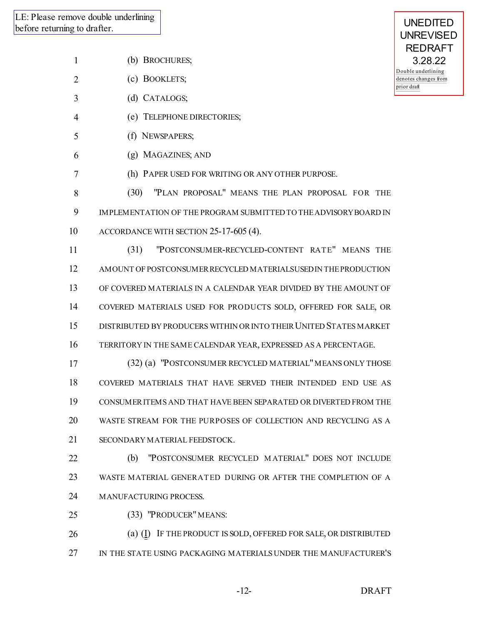- (b) BROCHURES;
- (c) BOOKLETS;
- (d) CATALOGS;
- (e) TELEPHONE DIRECTORIES;
- (f) NEWSPAPERS;
- (g) MAGAZINES; AND
- (h) PAPER USED FOR WRITING OR ANY OTHER PURPOSE.
- (30) "PLAN PROPOSAL" MEANS THE PLAN PROPOSAL FOR THE IMPLEMENTATION OF THE PROGRAM SUBMITTED TO THEADVISORYBOARD IN ACCORDANCE WITH SECTION 25-17-605 (4).
- (31) "POSTCONSUMER-RECYCLED-CONTENT RATE" MEANS THE AMOUNT OF POSTCONSUMERRECYCLED MATERIALSUSED IN THEPRODUCTION OF COVERED MATERIALS IN A CALENDAR YEAR DIVIDED BY THE AMOUNT OF COVERED MATERIALS USED FOR PRODUCTS SOLD, OFFERED FOR SALE, OR 15 DISTRIBUTED BY PRODUCERS WITHIN OR INTO THEIR UNITED STATES MARKET TERRITORY IN THE SAME CALENDAR YEAR, EXPRESSED AS A PERCENTAGE.
- 17 (32) (a) "POSTCONSUMER RECYCLED MATERIAL" MEANS ONLY THOSE COVERED MATERIALS THAT HAVE SERVED THEIR INTENDED END USE AS CONSUMERITEMS AND THAT HAVE BEEN SEPARATED OR DIVERTED FROM THE WASTE STREAM FOR THE PURPOSES OF COLLECTION AND RECYCLING AS A SECONDARY MATERIAL FEEDSTOCK.
- (b) "POSTCONSUMER RECYCLED M ATERIAL" DOES NOT INCLUDE WASTE MATERIAL GENERATED DURING OR AFTER THE COMPLETION OF A MANUFACTURING PROCESS.
- (33) "PRODUCER"MEANS:
- 26 (a) (I) IF THE PRODUCT IS SOLD, OFFERED FOR SALE, OR DISTRIBUTED IN THE STATE USING PACKAGING MATERIALS UNDER THE MANUFACTURER'S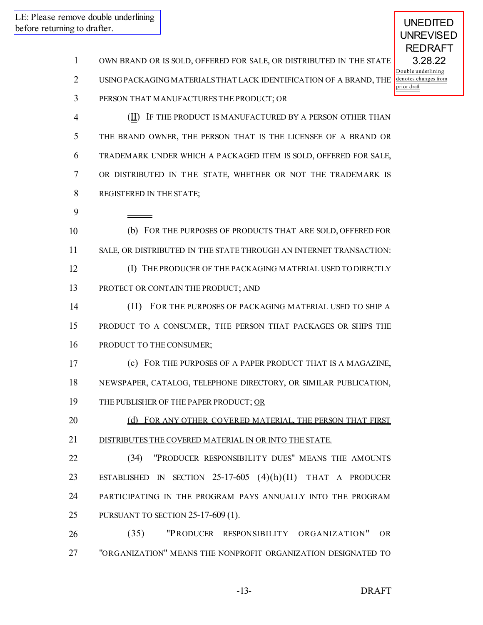9

UNEDITED UNREVISED REDRAFT 3.28.22 Double underlining denotes changes from prior draft

- 1 OWN BRAND OR IS SOLD, OFFERED FOR SALE, OR DISTRIBUTED IN THE STATE
- 2 USING PACKAGING MATERIALSTHAT LACK IDENTIFICATION OF A BRAND, THE
- 3 PERSON THAT MANUFACTURES THE PRODUCT; OR

**(II)** IF THE PRODUCT IS MANUFACTURED BY A PERSON OTHER THAN THE BRAND OWNER, THE PERSON THAT IS THE LICENSEE OF A BRAND OR TRADEMARK UNDER WHICH A PACKAGED ITEM IS SOLD, OFFERED FOR SALE, OR DISTRIBUTED IN THE STATE, WHETHER OR NOT THE TRADEMARK IS REGISTERED IN THE STATE;

- 10 (b) FOR THE PURPOSES OF PRODUCTS THAT ARE SOLD, OFFERED FOR 11 SALE, OR DISTRIBUTED IN THE STATE THROUGH AN INTERNET TRANSACTION: 12 (I) THE PRODUCER OF THE PACKAGING MATERIAL USED TO DIRECTLY 13 PROTECT OR CONTAIN THE PRODUCT; AND
- 14 (II) FOR THE PURPOSES OF PACKAGING MATERIAL USED TO SHIP A 15 PRODUCT TO A CONSUM ER, THE PERSON THAT PACKAGES OR SHIPS THE 16 PRODUCT TO THE CONSUMER;
- 17 (c) FOR THE PURPOSES OF A PAPER PRODUCT THAT IS A MAGAZINE, 18 NEWSPAPER, CATALOG, TELEPHONE DIRECTORY, OR SIMILAR PUBLICATION, 19 THE PUBLISHER OF THE PAPER PRODUCT; OR
- 20 (d) FOR ANY OTHER COVERED MATERIAL, THE PERSON THAT FIRST 21 DISTRIBUTES THE COVERED MATERIAL IN OR INTO THE STATE.

 (34) "PRODUCER RESPONSIBILITY DUES" MEANS THE AMOUNTS ESTABLISHED IN SECTION 25-17-605 (4)(h)(II) THAT A PRODUCER PARTICIPATING IN THE PROGRAM PAYS ANNUALLY INTO THE PROGRAM PURSUANT TO SECTION 25-17-609 (1).

26 (35) "PRODUCER RESPONSIBILITY ORGANIZATION" OR 27 "ORGANIZATION" MEANS THE NONPROFIT ORGANIZATION DESIGNATED TO

-13- DRAFT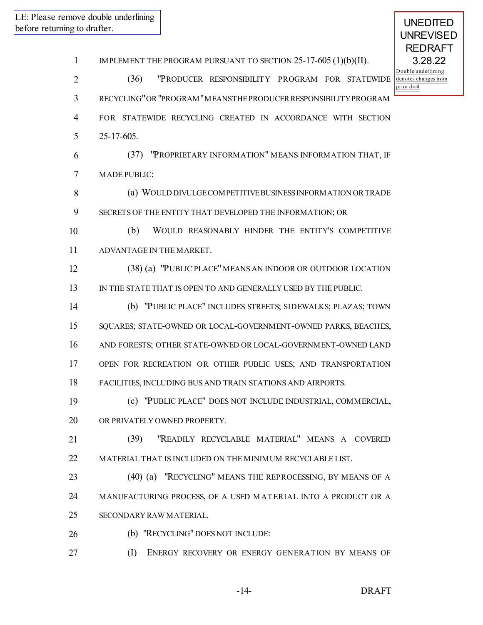IMPLEMENT THE PROGRAM PURSUANT TO SECTION 25-17-605 (1)(b)(II). (36) "PRODUCER RESPONSIBILITY PROGRAM FOR STATEWIDE RECYCLING"OR"PROGRAM"MEANSTHEPRODUCERRESPONSIBILITYPROGRAM FOR STATEWIDE RECYCLING CREATED IN ACCORDANCE WITH SECTION 25-17-605. (37) "PROPRIETARY INFORMATION" MEANS INFORMATION THAT, IF MADE PUBLIC: (a) WOULD DIVULGECOMPETITIVEBUSINESSINFORMATION ORTRADE SECRETS OF THE ENTITY THAT DEVELOPED THE INFORMATION; OR (b) WOULD REASONABLY HINDER THE ENTITY'S COMPETITIVE ADVANTAGE IN THE MARKET. (38) (a) "PUBLIC PLACE"MEANS AN INDOOR OR OUTDOOR LOCATION IN THE STATE THAT IS OPEN TO AND GENERALLY USED BY THE PUBLIC. (b) "PUBLIC PLACE" INCLUDES STREETS; SIDEWALKS; PLAZAS; TOWN SQUARES; STATE-OWNED OR LOCAL-GOVERNMENT-OWNED PARKS, BEACHES, AND FORESTS; OTHER STATE-OWNED OR LOCAL-GOVERNMENT-OWNED LAND OPEN FOR RECREATION OR OTHER PUBLIC USES; AND TRANSPORTATION FACILITIES, INCLUDING BUS AND TRAIN STATIONS AND AIRPORTS. (c) "PUBLIC PLACE" DOES NOT INCLUDE INDUSTRIAL, COMMERCIAL, OR PRIVATELY OWNED PROPERTY. (39) "READILY RECYCLABLE MATERIAL" MEANS A COVERED MATERIAL THAT IS INCLUDED ON THE MINIMUM RECYCLABLE LIST. 23 (40) (a) "RECYCLING" MEANS THE REPROCESSING, BY MEANS OF A MANUFACTURING PROCESS, OF A USED M ATERIAL INTO A PRODUCT OR A SECONDARY RAW MATERIAL. 26 (b) "RECYCLING" DOES NOT INCLUDE: **(I) ENERGY RECOVERY OR ENERGY GENERATION BY MEANS OF**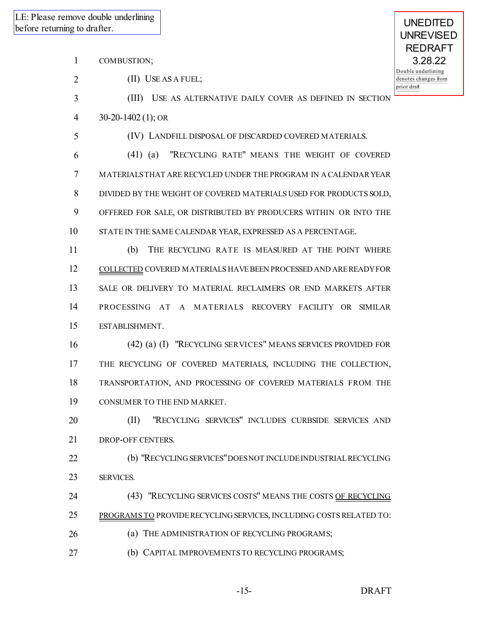- COMBUSTION;
- 2 (II) USE AS A FUEL;
- (III) USE AS ALTERNATIVE DAILY COVER AS DEFINED IN SECTION
- 30-20-1402 (1); OR
- (IV) LANDFILL DISPOSAL OF DISCARDED COVERED MATERIALS.
- (41) (a) "RECYCLING RATE" MEANS THE WEIGHT OF COVERED MATERIALSTHAT ARE RECYCLED UNDER THE PROGRAM IN A CALENDARYEAR DIVIDED BY THE WEIGHT OF COVERED MATERIALS USED FOR PRODUCTS SOLD, OFFERED FOR SALE, OR DISTRIBUTED BY PRODUCERS WITHIN OR INTO THE STATE IN THE SAME CALENDAR YEAR, EXPRESSED AS A PERCENTAGE.
- (b) THE RECYCLING RATE IS MEASURED AT THE POINT WHERE COLLECTED COVERED MATERIALS HAVEBEEN PROCESSED AND AREREADYFOR SALE OR DELIVERY TO MATERIAL RECLAIMERS OR END MARKETS AFTER 14 PROCESSING AT A MATERIALS RECOVERY FACILITY OR SIMILAR ESTABLISHMENT.
- (42) (a) (I) "RECYCLING SERVICES" MEANS SERVICES PROVIDED FOR THE RECYCLING OF COVERED MATERIALS, INCLUDING THE COLLECTION, TRANSPORTATION, AND PROCESSING OF COVERED MATERIALS FROM THE CONSUMER TO THE END MARKET.
- (II) "RECYCLING SERVICES" INCLUDES CURBSIDE SERVICES AND DROP-OFF CENTERS.
- (b) "RECYCLING SERVICES"DOESNOT INCLUDEINDUSTRIALRECYCLING SERVICES.
- 24 (43) "RECYCLING SERVICES COSTS" MEANS THE COSTS OF RECYCLING PROGRAMS TO PROVIDERECYCLING SERVICES, INCLUDING COSTSRELATED TO: **(a) THE ADMINISTRATION OF RECYCLING PROGRAMS;**
- (b) CAPITAL IMPROVEMENTS TO RECYCLING PROGRAMS;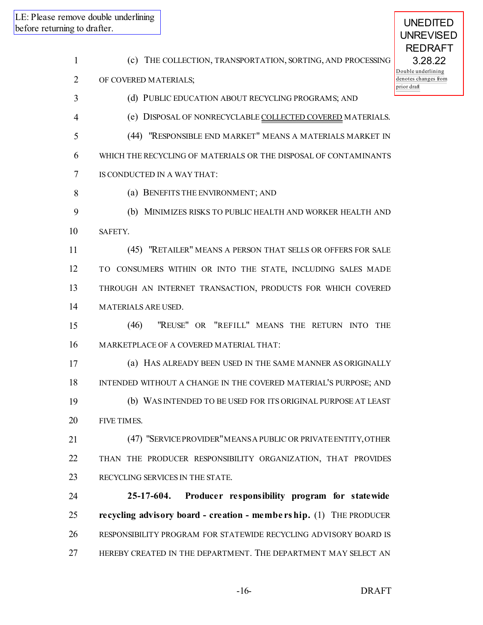| g to drafter. | nove double underlining                                            | <b>UNEDITED</b><br><b>UNREVISED</b>             |
|---------------|--------------------------------------------------------------------|-------------------------------------------------|
| $\mathbf{1}$  | (c) THE COLLECTION, TRANSPORTATION, SORTING, AND PROCESSING        | <b>REDRAFT</b><br>3.28.22<br>Double underlining |
| 2             | OF COVERED MATERIALS;                                              | denotes changes from<br>prior draft             |
| 3             | (d) PUBLIC EDUCATION ABOUT RECYCLING PROGRAMS; AND                 |                                                 |
| 4             | (e) DISPOSAL OF NONRECYCLABLE COLLECTED COVERED MATERIALS.         |                                                 |
| 5             | (44) "RESPONSIBLE END MARKET" MEANS A MATERIALS MARKET IN          |                                                 |
| 6             | WHICH THE RECYCLING OF MATERIALS OR THE DISPOSAL OF CONTAMINANTS   |                                                 |
| 7             | IS CONDUCTED IN A WAY THAT:                                        |                                                 |
| 8             | (a) BENEFITS THE ENVIRONMENT; AND                                  |                                                 |
| 9             | (b) MINIMIZES RISKS TO PUBLIC HEALTH AND WORKER HEALTH AND         |                                                 |
| 10            | SAFETY.                                                            |                                                 |
| 11            | (45) "RETAILER" MEANS A PERSON THAT SELLS OR OFFERS FOR SALE       |                                                 |
| 12            | TO CONSUMERS WITHIN OR INTO THE STATE, INCLUDING SALES MADE        |                                                 |
| 13            | THROUGH AN INTERNET TRANSACTION, PRODUCTS FOR WHICH COVERED        |                                                 |
| 14            | MATERIALS ARE USED.                                                |                                                 |
| 15            | "REUSE" OR "REFILL" MEANS THE RETURN INTO THE<br>(46)              |                                                 |
| 16            | MARKETPLACE OF A COVERED MATERIAL THAT:                            |                                                 |
| 17            | (a) HAS ALREADY BEEN USED IN THE SAME MANNER AS ORIGINALLY         |                                                 |
| 18            | INTENDED WITHOUT A CHANGE IN THE COVERED MATERIAL'S PURPOSE; AND   |                                                 |
| 19            | (b) WAS INTENDED TO BE USED FOR ITS ORIGINAL PURPOSE AT LEAST      |                                                 |
| 20            | FIVE TIMES.                                                        |                                                 |
| 21            | (47) "SERVICE PROVIDER" MEANS A PUBLIC OR PRIVATE ENTITY, OTHER    |                                                 |
| 22            | THAN THE PRODUCER RESPONSIBILITY ORGANIZATION, THAT PROVIDES       |                                                 |
| 23            | RECYCLING SERVICES IN THE STATE.                                   |                                                 |
| 24            | 25-17-604.<br>Producer responsibility program for statewide        |                                                 |
| 25            | recycling advisory board - creation - membership. (1) THE PRODUCER |                                                 |
| 26            | RESPONSIBILITY PROGRAM FOR STATEWIDE RECYCLING ADVISORY BOARD IS   |                                                 |
| 27            | HEREBY CREATED IN THE DEPARTMENT. THE DEPARTMENT MAY SELECT AN     |                                                 |
|               |                                                                    |                                                 |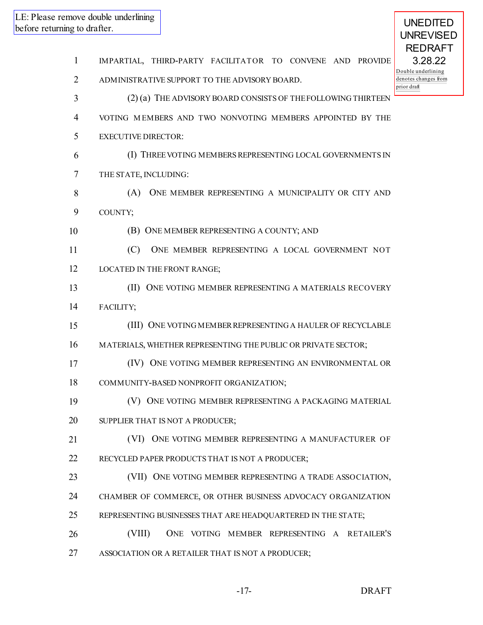| $\mathbf{1}$   | IMPARTIAL, THIRD-PARTY FACILITATOR TO CONVENE AND PROVIDE       |
|----------------|-----------------------------------------------------------------|
| $\overline{2}$ | D١<br>de<br>ADMINISTRATIVE SUPPORT TO THE ADVISORY BOARD.<br>pr |
| 3              | (2) (a) THE ADVISORY BOARD CONSISTS OF THE FOLLOWING THIRTEEN   |
| 4              | VOTING MEMBERS AND TWO NONVOTING MEMBERS APPOINTED BY THE       |
| 5              | <b>EXECUTIVE DIRECTOR:</b>                                      |
| 6              | (I) THREE VOTING MEMBERS REPRESENTING LOCAL GOVERNMENTS IN      |
| 7              | THE STATE, INCLUDING:                                           |
| 8              | ONE MEMBER REPRESENTING A MUNICIPALITY OR CITY AND<br>(A)       |
| 9              | COUNTY;                                                         |
| 10             | (B) ONE MEMBER REPRESENTING A COUNTY; AND                       |
| 11             | ONE MEMBER REPRESENTING A LOCAL GOVERNMENT NOT<br>(C)           |
| 12             | LOCATED IN THE FRONT RANGE;                                     |
| 13             | (II) ONE VOTING MEMBER REPRESENTING A MATERIALS RECOVERY        |
| 14             | FACILITY;                                                       |
| 15             | (III) ONE VOTING MEMBER REPRESENTING A HAULER OF RECYCLABLE     |
| 16             | MATERIALS, WHETHER REPRESENTING THE PUBLIC OR PRIVATE SECTOR;   |
| 17             | (IV) ONE VOTING MEMBER REPRESENTING AN ENVIRONMENTAL OR         |
| 18             | COMMUNITY-BASED NONPROFIT ORGANIZATION;                         |
| 19             | (V) ONE VOTING MEMBER REPRESENTING A PACKAGING MATERIAL         |
| 20             | SUPPLIER THAT IS NOT A PRODUCER;                                |
| 21             | (VI) ONE VOTING MEMBER REPRESENTING A MANUFACTURER OF           |
| 22             | RECYCLED PAPER PRODUCTS THAT IS NOT A PRODUCER;                 |
| 23             | (VII) ONE VOTING MEMBER REPRESENTING A TRADE ASSOCIATION,       |
| 24             | CHAMBER OF COMMERCE, OR OTHER BUSINESS ADVOCACY ORGANIZATION    |
| 25             | REPRESENTING BUSINESSES THAT ARE HEADQUARTERED IN THE STATE;    |
| 26             | (VIII)<br>ONE VOTING MEMBER REPRESENTING A RETAILER'S           |
| 27             | ASSOCIATION OR A RETAILER THAT IS NOT A PRODUCER;               |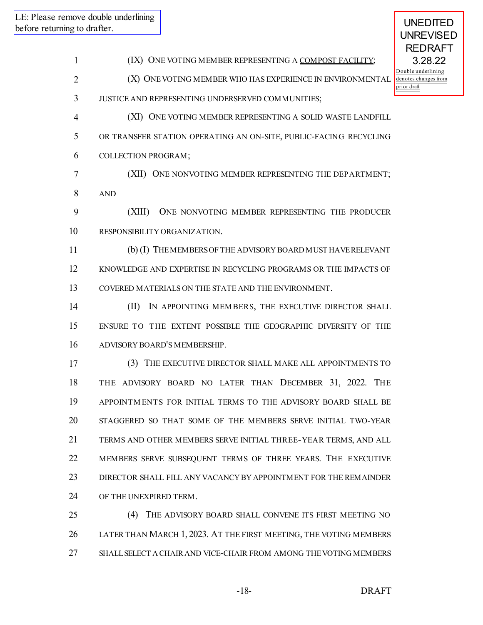(IX) ONE VOTING MEMBER REPRESENTING A COMPOST FACILITY; (X) ONEVOTING MEMBER WHO HAS EXPERIENCE IN ENVIRONMENTAL JUSTICE AND REPRESENTING UNDERSERVED COMMUNITIES; (XI) ONE VOTING MEMBER REPRESENTING A SOLID WASTE LANDFILL OR TRANSFER STATION OPERATING AN ON-SITE, PUBLIC-FACING RECYCLING COLLECTION PROGRAM; (XII) ONE NONVOTING MEMBER REPRESENTING THE DEPARTMENT; AND (XIII) ONE NONVOTING MEMBER REPRESENTING THE PRODUCER RESPONSIBILITY ORGANIZATION. (b) (I) THEMEMBERSOF THE ADVISORY BOARD MUST HAVERELEVANT KNOWLEDGE AND EXPERTISE IN RECYCLING PROGRAMS OR THE IMPACTS OF COVERED MATERIALS ON THE STATE AND THE ENVIRONMENT. (II) IN APPOINTING MEM BERS, THE EXECUTIVE DIRECTOR SHALL ENSURE TO THE EXTENT POSSIBLE THE GEOGRAPHIC DIVERSITY OF THE ADVISORY BOARD'S MEMBERSHIP. (3) THE EXECUTIVE DIRECTOR SHALL MAKE ALL APPOINTMENTS TO THE ADVISORY BOARD NO LATER THAN DECEMBER 31, 2022. THE APPOINTM ENTS FOR INITIAL TERMS TO THE ADVISORY BOARD SHALL BE STAGGERED SO THAT SOME OF THE MEMBERS SERVE INITIAL TWO-YEAR TERMS AND OTHER MEMBERS SERVE INITIAL THREE-YEAR TERMS, AND ALL MEMBERS SERVE SUBSEQUENT TERMS OF THREE YEARS. THE EXECUTIVE DIRECTOR SHALL FILL ANY VACANCY BY APPOINTMENT FOR THE REMAINDER OF THE UNEXPIRED TERM. (4) THE ADVISORY BOARD SHALL CONVENE ITS FIRST MEETING NO LATER THAN MARCH 1, 2023. AT THE FIRST MEETING, THE VOTING MEMBERS SHALLSELECT A CHAIRAND VICE-CHAIR FROM AMONG THEVOTING MEMBERS -18- DRAFT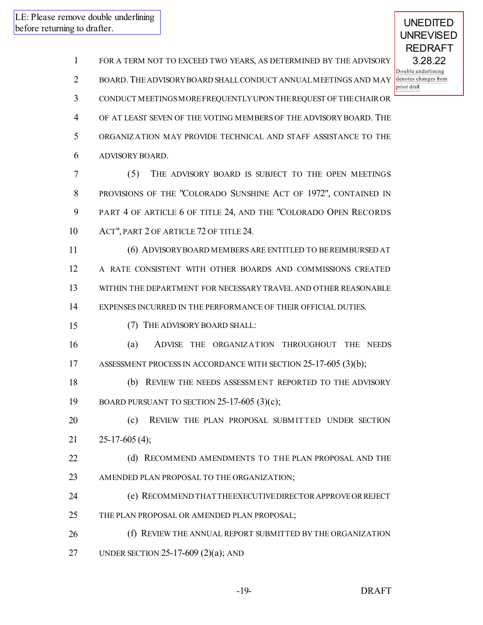| $\mathbf{1}$   | FOR A TERM NOT TO EXCEED TWO YEARS, AS DETERMINED BY THE ADVISORY  |
|----------------|--------------------------------------------------------------------|
| $\overline{2}$ | BOARD. THE ADVISORY BOARD SHALL CONDUCT ANNUAL MEETINGS AND MAY    |
| 3              | CONDUCT MEETINGS MORE FREQUENTLY UPON THE REQUEST OF THE CHAIR OR  |
| 4              | OF AT LEAST SEVEN OF THE VOTING MEMBERS OF THE ADVISORY BOARD. THE |
| 5              | ORGANIZATION MAY PROVIDE TECHNICAL AND STAFF ASSISTANCE TO THE     |
| 6              | ADVISORY BOARD.                                                    |
| 7              | (5)<br>THE ADVISORY BOARD IS SUBJECT TO THE OPEN MEETINGS          |
| 8              | PROVISIONS OF THE "COLORADO SUNSHINE ACT OF 1972", CONTAINED IN    |
| 9              | PART 4 OF ARTICLE 6 OF TITLE 24, AND THE "COLORADO OPEN RECORDS    |
| 10             | ACT", PART 2 OF ARTICLE 72 OF TITLE 24.                            |
| 11             | (6) ADVISORY BOARD MEMBERS ARE ENTITLED TO BE REIMBURSED AT        |
| 12             | A RATE CONSISTENT WITH OTHER BOARDS AND COMMISSIONS CREATED        |
| 13             | WITHIN THE DEPARTMENT FOR NECESSARY TRAVEL AND OTHER REASONABLE    |
| 14             | EXPENSES INCURRED IN THE PERFORMANCE OF THEIR OFFICIAL DUTIES.     |
| 15             | (7) THE ADVISORY BOARD SHALL:                                      |
| 16             | (a)<br>ADVISE THE ORGANIZATION THROUGHOUT THE NEEDS                |
| 17             | ASSESSMENT PROCESS IN ACCORDANCE WITH SECTION 25-17-605 (3)(b);    |
| 18             | REVIEW THE NEEDS ASSESSMENT REPORTED TO THE ADVISORY<br>(b)        |
| 19             | BOARD PURSUANT TO SECTION $25-17-605$ (3)(c);                      |
| 20             | REVIEW THE PLAN PROPOSAL SUBMITTED UNDER SECTION<br>(c)            |
| 21             | $25-17-605(4);$                                                    |
| 22             | (d) RECOMMEND AMENDMENTS TO THE PLAN PROPOSAL AND THE              |
| 23             | AMENDED PLAN PROPOSAL TO THE ORGANIZATION;                         |
| 24             | (e) RECOMMEND THAT THE EXECUTIVE DIRECTOR APPROVE OR REJECT        |
| 25             | THE PLAN PROPOSAL OR AMENDED PLAN PROPOSAL;                        |
| 26             | (f) REVIEW THE ANNUAL REPORT SUBMITTED BY THE ORGANIZATION         |
| 27             | UNDER SECTION 25-17-609 $(2)(a)$ ; AND                             |
|                |                                                                    |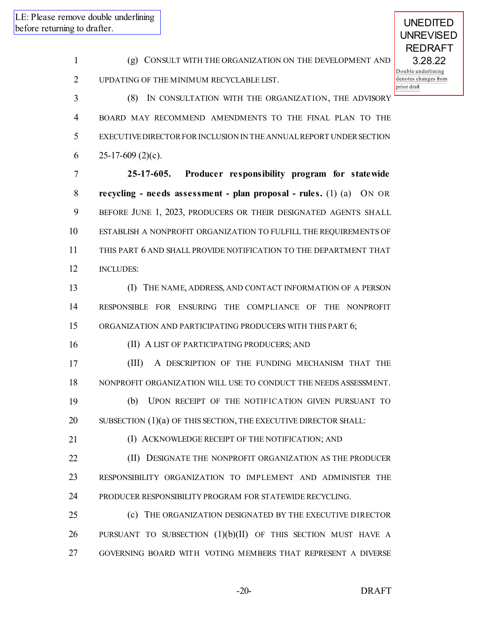(g) CONSULT WITH THE ORGANIZATION ON THE DEVELOPMENT AND UPDATING OF THE MINIMUM RECYCLABLE LIST. (8) IN CONSULTATION WITH THE ORGANIZATION, THE ADVISORY

 BOARD MAY RECOMMEND AMENDMENTS TO THE FINAL PLAN TO THE EXECUTIVEDIRECTORFORINCLUSION IN THEANNUALREPORT UNDERSECTION 6 25-17-609 (2)(c).

 **25-17-605. Producer responsibility program for statewide recycling - needs assessment - plan proposal - rules.** (1) (a) ON OR BEFORE JUNE 1, 2023, PRODUCERS OR THEIR DESIGNATED AGENTS SHALL ESTABLISH A NONPROFIT ORGANIZATION TO FULFILL THE REQUIREMENTS OF THIS PART 6 AND SHALL PROVIDE NOTIFICATION TO THE DEPARTMENT THAT INCLUDES:

 (I) THE NAME, ADDRESS, AND CONTACT INFORMATION OF A PERSON RESPONSIBLE FOR ENSURING THE COMPLIANCE OF THE NONPROFIT 15 ORGANIZATION AND PARTICIPATING PRODUCERS WITH THIS PART 6;

(II) A LIST OF PARTICIPATING PRODUCERS; AND

 (III) A DESCRIPTION OF THE FUNDING MECHANISM THAT THE NONPROFIT ORGANIZATION WILL USE TO CONDUCT THE NEEDS ASSESSMENT.

 (b) UPON RECEIPT OF THE NOTIFICATION GIVEN PURSUANT TO SUBSECTION (1)(a) OF THIS SECTION, THE EXECUTIVE DIRECTOR SHALL:

21 (I) ACKNOWLEDGE RECEIPT OF THE NOTIFICATION; AND

 (II) DESIGNATE THE NONPROFIT ORGANIZATION AS THE PRODUCER RESPONSIBILITY ORGANIZATION TO IMPLEMENT AND ADMINISTER THE PRODUCER RESPONSIBILITY PROGRAM FOR STATEWIDE RECYCLING.

 (c) THE ORGANIZATION DESIGNATED BY THE EXECUTIVE DIRECTOR PURSUANT TO SUBSECTION (1)(b)(II) OF THIS SECTION MUST HAVE A GOVERNING BOARD WITH VOTING MEMBERS THAT REPRESENT A DIVERSE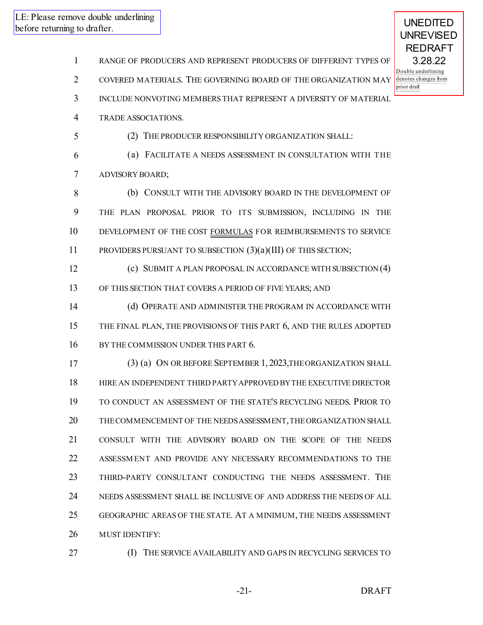RANGE OF PRODUCERS AND REPRESENT PRODUCERS OF DIFFERENT TYPES OF

COVERED MATERIALS. THE GOVERNING BOARD OF THE ORGANIZATION MAY

INCLUDE NONVOTING MEMBERS THAT REPRESENT A DIVERSITY OF MATERIAL

TRADE ASSOCIATIONS.

(2) THE PRODUCER RESPONSIBILITY ORGANIZATION SHALL:

 (a) FACILITATE A NEEDS ASSESSMENT IN CONSULTATION WITH THE ADVISORY BOARD;

 (b) CONSULT WITH THE ADVISORY BOARD IN THE DEVELOPMENT OF THE PLAN PROPOSAL PRIOR TO ITS SUBMISSION, INCLUDING IN THE DEVELOPMENT OF THE COST FORMULAS FOR REIMBURSEMENTS TO SERVICE PROVIDERS PURSUANT TO SUBSECTION (3)(a)(III) OF THIS SECTION;

 (c) SUBMIT A PLAN PROPOSAL IN ACCORDANCE WITH SUBSECTION (4) OF THIS SECTION THAT COVERS A PERIOD OF FIVE YEARS; AND

 (d) OPERATE AND ADMINISTER THE PROGRAM IN ACCORDANCE WITH THE FINAL PLAN, THE PROVISIONS OF THIS PART 6, AND THE RULES ADOPTED 16 BY THE COMMISSION UNDER THIS PART 6.

 (3) (a) ON OR BEFORE SEPTEMBER 1, 2023,THEORGANIZATION SHALL HIRE AN INDEPENDENT THIRD PARTYAPPROVED BYTHE EXECUTIVE DIRECTOR TO CONDUCT AN ASSESSMENT OF THE STATE'S RECYCLING NEEDS. PRIOR TO THECOMMENCEMENT OF THE NEEDSASSESSMENT,THEORGANIZATION SHALL CONSULT WITH THE ADVISORY BOARD ON THE SCOPE OF THE NEEDS ASSESSM ENT AND PROVIDE ANY NECESSARY RECOMMENDATIONS TO THE THIRD-PARTY CONSULTANT CONDUCTING THE NEEDS ASSESSMENT. THE NEEDS ASSESSMENT SHALL BE INCLUSIVE OF AND ADDRESS THE NEEDS OF ALL GEOGRAPHIC AREAS OF THE STATE. AT A MINIMUM, THE NEEDS ASSESSMENT MUST IDENTIFY:

- 
- (I) THE SERVICE AVAILABILITY AND GAPS IN RECYCLING SERVICES TO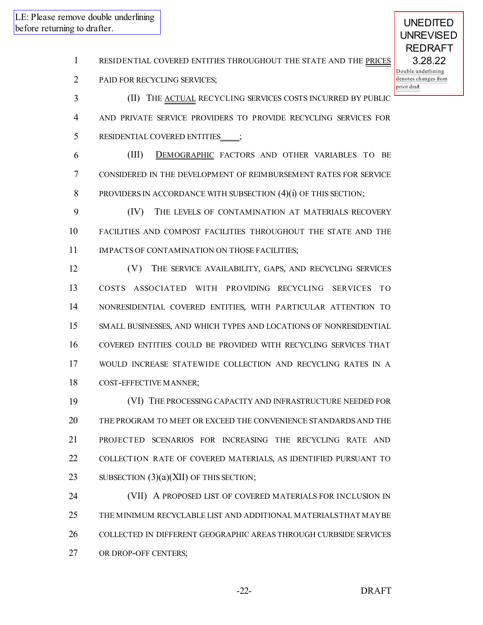RESIDENTIAL COVERED ENTITIES THROUGHOUT THE STATE AND THE PRICES

PAID FOR RECYCLING SERVICES;

**(II)** THE **ACTUAL** RECYCLING SERVICES COSTS INCURRED BY PUBLIC

AND PRIVATE SERVICE PROVIDERS TO PROVIDE RECYCLING SERVICES FOR

5 RESIDENTIAL COVERED ENTITIES\_\_\_\_;

 (III) DEMOGRAPHIC FACTORS AND OTHER VARIABLES TO BE CONSIDERED IN THE DEVELOPMENT OF REIMBURSEMENT RATES FOR SERVICE 8 PROVIDERS IN ACCORDANCE WITH SUBSECTION (4)(i) OF THIS SECTION;

 (IV) THE LEVELS OF CONTAMINATION AT MATERIALS RECOVERY FACILITIES AND COMPOST FACILITIES THROUGHOUT THE STATE AND THE 11 IMPACTS OF CONTAMINATION ON THOSE FACILITIES;

 (V) THE SERVICE AVAILABILITY, GAPS, AND RECYCLING SERVICES COSTS ASSOCIATED WITH PROVIDING RECYCLING SERVICES TO NONRESIDENTIAL COVERED ENTITIES, WITH PARTICULAR ATTENTION TO SMALL BUSINESSES, AND WHICH TYPES AND LOCATIONS OF NONRESIDENTIAL COVERED ENTITIES COULD BE PROVIDED WITH RECYCLING SERVICES THAT WOULD INCREASE STATEWIDE COLLECTION AND RECYCLING RATES IN A COST-EFFECTIVE MANNER;

 (VI) THE PROCESSING CAPACITY AND INFRASTRUCTURE NEEDED FOR THE PROGRAM TO MEET OR EXCEED THE CONVENIENCE STANDARDS AND THE PROJECTED SCENARIOS FOR INCREASING THE RECYCLING RATE AND COLLECTION RATE OF COVERED MATERIALS, AS IDENTIFIED PURSUANT TO 23 SUBSECTION  $(3)(a)(XII)$  OF THIS SECTION;

 (VII) A PROPOSED LIST OF COVERED MATERIALS FOR INCLUSION IN THE MINIMUM RECYCLABLE LIST AND ADDITIONAL MATERIALSTHAT MAYBE COLLECTED IN DIFFERENT GEOGRAPHIC AREAS THROUGH CURBSIDE SERVICES OR DROP-OFF CENTERS;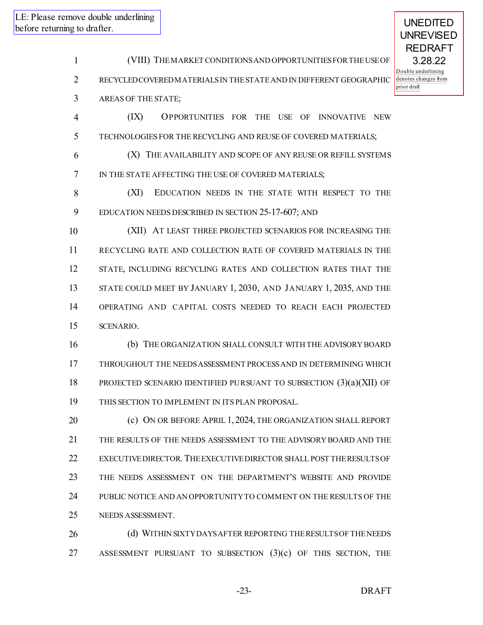(VIII) THEMARKET CONDITIONSAND OPPORTUNITIESFORTHEUSEOF RECYCLED COVERED MATERIALSIN THESTATEAND IN DIFFERENT GEOGRAPHIC

AREAS OF THE STATE;

 (IX) OPPORTUNITIES FOR THE USE OF INNOVATIVE NEW TECHNOLOGIES FOR THE RECYCLING AND REUSE OF COVERED MATERIALS;

 (X) THE AVAILABILITY AND SCOPE OF ANY REUSE OR REFILL SYSTEMS 7 IN THE STATE AFFECTING THE USE OF COVERED MATERIALS;

 (XI) EDUCATION NEEDS IN THE STATE WITH RESPECT TO THE EDUCATION NEEDS DESCRIBED IN SECTION 25-17-607; AND

 (XII) AT LEAST THREE PROJECTED SCENARIOS FOR INCREASING THE RECYCLING RATE AND COLLECTION RATE OF COVERED MATERIALS IN THE STATE, INCLUDING RECYCLING RATES AND COLLECTION RATES THAT THE STATE COULD MEET BY JANUARY 1, 2030, AND JANUARY 1, 2035, AND THE OPERATING AND CAPITAL COSTS NEEDED TO REACH EACH PROJECTED SCENARIO.

 (b) THE ORGANIZATION SHALL CONSULT WITH THE ADVISORY BOARD THROUGHOUT THE NEEDSASSESSMENT PROCESSAND IN DETERMINING WHICH PROJECTED SCENARIO IDENTIFIED PURSUANT TO SUBSECTION (3)(a)(XII) OF THIS SECTION TO IMPLEMENT IN ITS PLAN PROPOSAL.

 (c) ON OR BEFORE APRIL 1, 2024, THE ORGANIZATION SHALL REPORT THE RESULTS OF THE NEEDS ASSESSMENT TO THE ADVISORY BOARD AND THE EXECUTIVEDIRECTOR.THEEXECUTIVEDIRECTOR SHALL POST THERESULTSOF THE NEEDS ASSESSMENT ON THE DEPARTMENT'S WEBSITE AND PROVIDE PUBLIC NOTICE AND AN OPPORTUNITYTO COMMENT ON THE RESULTS OF THE NEEDS ASSESSMENT.

26 (d) WITHIN SIXTYDAYS AFTER REPORTING THE RESULTS OF THE NEEDS ASSESSMENT PURSUANT TO SUBSECTION (3)(c) OF THIS SECTION, THE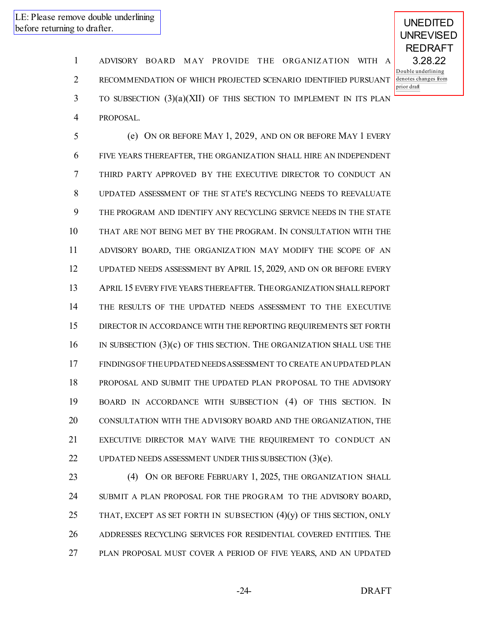1 ADVISORY BOARD MAY PROVIDE THE ORGANIZATION WITH A RECOMMENDATION OF WHICH PROJECTED SCENARIO IDENTIFIED PURSUANT TO SUBSECTION (3)(a)(XII) OF THIS SECTION TO IMPLEMENT IN ITS PLAN PROPOSAL.

 (e) ON OR BEFORE MAY 1, 2029, AND ON OR BEFORE MAY 1 EVERY FIVE YEARS THEREAFTER, THE ORGANIZATION SHALL HIRE AN INDEPENDENT THIRD PARTY APPROVED BY THE EXECUTIVE DIRECTOR TO CONDUCT AN UPDATED ASSESSMENT OF THE STATE'S RECYCLING NEEDS TO REEVALUATE THE PROGRAM AND IDENTIFY ANY RECYCLING SERVICE NEEDS IN THE STATE THAT ARE NOT BEING MET BY THE PROGRAM. IN CONSULTATION WITH THE ADVISORY BOARD, THE ORGANIZATION MAY MODIFY THE SCOPE OF AN UPDATED NEEDS ASSESSMENT BY APRIL 15, 2029, AND ON OR BEFORE EVERY APRIL 15 EVERY FIVE YEARS THEREAFTER. THEORGANIZATION SHALLREPORT THE RESULTS OF THE UPDATED NEEDS ASSESSMENT TO THE EXECUTIVE DIRECTOR IN ACCORDANCE WITH THE REPORTING REQUIREMENTS SET FORTH IN SUBSECTION (3)(c) OF THIS SECTION. THE ORGANIZATION SHALL USE THE FINDINGSOF THEUPDATED NEEDSASSESSMENT TO CREATE AN UPDATED PLAN PROPOSAL AND SUBMIT THE UPDATED PLAN PROPOSAL TO THE ADVISORY BOARD IN ACCORDANCE WITH SUBSECTION (4) OF THIS SECTION. IN CONSULTATION WITH THE ADVISORY BOARD AND THE ORGANIZATION, THE EXECUTIVE DIRECTOR MAY WAIVE THE REQUIREMENT TO CONDUCT AN UPDATED NEEDS ASSESSMENT UNDER THIS SUBSECTION (3)(e).

 (4) ON OR BEFORE FEBRUARY 1, 2025, THE ORGANIZATION SHALL SUBMIT A PLAN PROPOSAL FOR THE PROGRAM TO THE ADVISORY BOARD, 25 THAT, EXCEPT AS SET FORTH IN SUBSECTION  $(4)(y)$  OF THIS SECTION, ONLY ADDRESSES RECYCLING SERVICES FOR RESIDENTIAL COVERED ENTITIES. THE PLAN PROPOSAL MUST COVER A PERIOD OF FIVE YEARS, AND AN UPDATED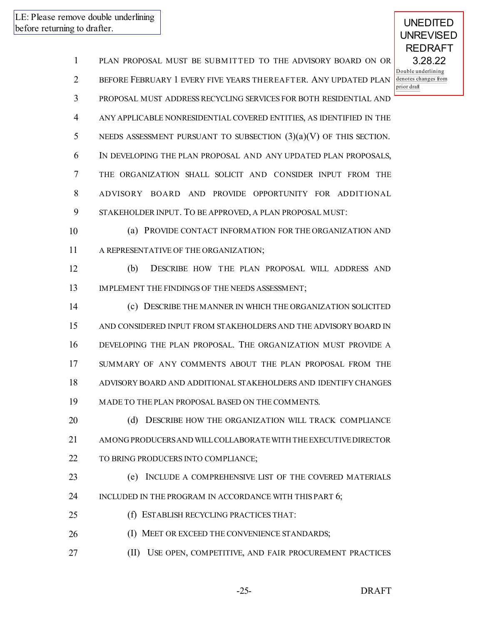PLAN PROPOSAL MUST BE SUBM ITTED TO THE ADVISORY BOARD ON OR BEFORE FEBRUARY 1 EVERY FIVE YEARS THEREAFTER. ANY UPDATED PLAN PROPOSAL MUST ADDRESS RECYCLING SERVICES FOR BOTH RESIDENTIAL AND ANY APPLICABLE NONRESIDENTIAL COVERED ENTITIES, AS IDENTIFIED IN THE 5 NEEDS ASSESSMENT PURSUANT TO SUBSECTION  $(3)(a)(V)$  OF THIS SECTION. IN DEVELOPING THE PLAN PROPOSAL AND ANY UPDATED PLAN PROPOSALS, THE ORGANIZATION SHALL SOLICIT AND CONSIDER INPUT FROM THE ADVISORY BOARD AND PROVIDE OPPORTUNITY FOR ADDITIONAL STAKEHOLDER INPUT. TO BE APPROVED, A PLAN PROPOSAL MUST: (a) PROVIDE CONTACT INFORMATION FOR THE ORGANIZATION AND A REPRESENTATIVE OF THE ORGANIZATION; (b) DESCRIBE HOW THE PLAN PROPOSAL WILL ADDRESS AND 13 IMPLEMENT THE FINDINGS OF THE NEEDS ASSESSMENT; (c) DESCRIBE THE MANNER IN WHICH THE ORGANIZATION SOLICITED AND CONSIDERED INPUT FROM STAKEHOLDERS AND THE ADVISORY BOARD IN DEVELOPING THE PLAN PROPOSAL. THE ORGANIZATION MUST PROVIDE A SUMMARY OF ANY COMMENTS ABOUT THE PLAN PROPOSAL FROM THE ADVISORY BOARD AND ADDITIONAL STAKEHOLDERS AND IDENTIFY CHANGES MADE TO THE PLAN PROPOSAL BASED ON THE COMMENTS. **(d) DESCRIBE HOW THE ORGANIZATION WILL TRACK COMPLIANCE**  AMONG PRODUCERSAND WILLCOLLABORATEWITH THEEXECUTIVEDIRECTOR TO BRING PRODUCERS INTO COMPLIANCE; (e) INCLUDE A COMPREHENSIVE LIST OF THE COVERED MATERIALS 24 INCLUDED IN THE PROGRAM IN ACCORDANCE WITH THIS PART 6;

- (f) ESTABLISH RECYCLING PRACTICES THAT:
- 26 (I) MEET OR EXCEED THE CONVENIENCE STANDARDS;
- (II) USE OPEN, COMPETITIVE, AND FAIR PROCUREMENT PRACTICES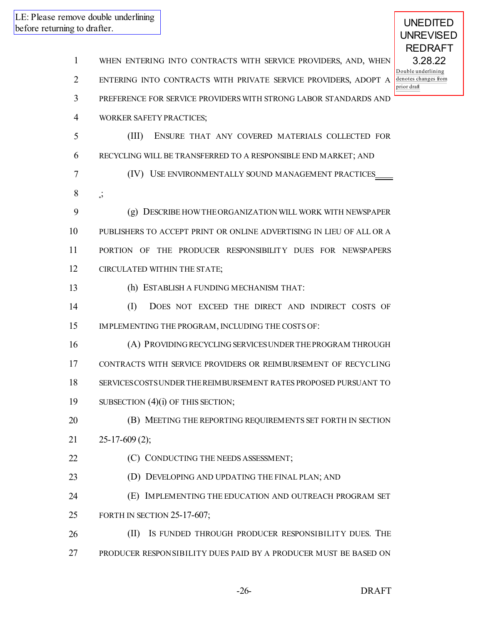WHEN ENTERING INTO CONTRACTS WITH SERVICE PROVIDERS, AND, WHEN ENTERING INTO CONTRACTS WITH PRIVATE SERVICE PROVIDERS, ADOPT A PREFERENCE FOR SERVICE PROVIDERS WITH STRONG LABOR STANDARDS AND WORKER SAFETY PRACTICES; (III) ENSURE THAT ANY COVERED MATERIALS COLLECTED FOR RECYCLING WILL BE TRANSFERRED TO A RESPONSIBLE END MARKET; AND (IV) USE ENVIRONMENTALLY SOUND MANAGEMENT PRACTICES ; (g) DESCRIBE HOWTHEORGANIZATION WILL WORK WITH NEWSPAPER PUBLISHERS TO ACCEPT PRINT OR ONLINE ADVERTISING IN LIEU OF ALL OR A PORTION OF THE PRODUCER RESPONSIBILITY DUES FOR NEWSPAPERS CIRCULATED WITHIN THE STATE; (h) ESTABLISH A FUNDING MECHANISM THAT: (I) DOES NOT EXCEED THE DIRECT AND INDIRECT COSTS OF IMPLEMENTING THE PROGRAM, INCLUDING THE COSTS OF: (A) PROVIDING RECYCLING SERVICESUNDERTHEPROGRAM THROUGH CONTRACTS WITH SERVICE PROVIDERS OR REIMBURSEMENT OF RECYCLING SERVICESCOSTSUNDERTHEREIMBURSEMENT RATES PROPOSED PURSUANT TO 19 SUBSECTION (4)(i) OF THIS SECTION; **(B) MEETING THE REPORTING REQUIREMENTS SET FORTH IN SECTION**  $21 \qquad 25-17-609(2)$ ; **(C) CONDUCTING THE NEEDS ASSESSMENT;**  (D) DEVELOPING AND UPDATING THE FINAL PLAN; AND (E) IMPLEMENTING THE EDUCATION AND OUTREACH PROGRAM SET FORTH IN SECTION 25-17-607; 26 (II) IS FUNDED THROUGH PRODUCER RESPONSIBILITY DUES. THE PRODUCER RESPONSIBILITY DUES PAID BY A PRODUCER MUST BE BASED ON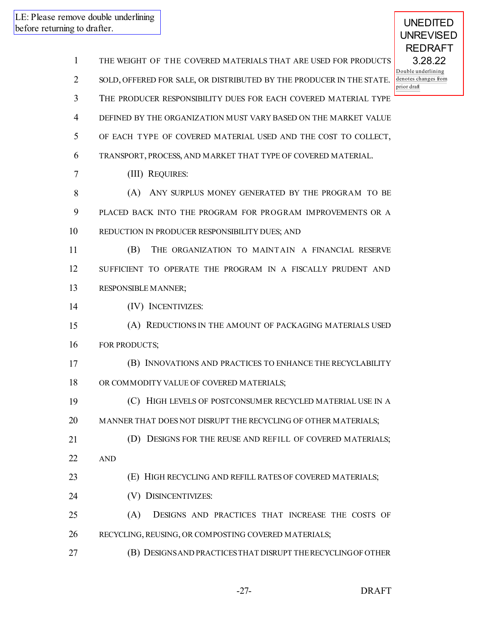| $\mathbf{1}$   | THE WEIGHT OF THE COVERED MATERIALS THAT ARE USED FOR PRODUCTS       |
|----------------|----------------------------------------------------------------------|
| $\overline{2}$ | SOLD, OFFERED FOR SALE, OR DISTRIBUTED BY THE PRODUCER IN THE STATE. |
| 3              | THE PRODUCER RESPONSIBILITY DUES FOR EACH COVERED MATERIAL TYPE      |
| 4              | DEFINED BY THE ORGANIZATION MUST VARY BASED ON THE MARKET VALUE      |
| 5              | OF EACH TYPE OF COVERED MATERIAL USED AND THE COST TO COLLECT,       |
| 6              | TRANSPORT, PROCESS, AND MARKET THAT TYPE OF COVERED MATERIAL.        |
| 7              | (III) REQUIRES:                                                      |
| 8              | ANY SURPLUS MONEY GENERATED BY THE PROGRAM TO BE<br>(A)              |
| 9              | PLACED BACK INTO THE PROGRAM FOR PROGRAM IMPROVEMENTS OR A           |
| 10             | REDUCTION IN PRODUCER RESPONSIBILITY DUES; AND                       |
| 11             | (B)<br>THE ORGANIZATION TO MAINTAIN A FINANCIAL RESERVE              |
| 12             | SUFFICIENT TO OPERATE THE PROGRAM IN A FISCALLY PRUDENT AND          |
| 13             | RESPONSIBLE MANNER;                                                  |
| 14             | (IV) INCENTIVIZES:                                                   |
| 15             | (A) REDUCTIONS IN THE AMOUNT OF PACKAGING MATERIALS USED             |
| 16             | FOR PRODUCTS;                                                        |
| 17             | (B) INNOVATIONS AND PRACTICES TO ENHANCE THE RECYCLABILITY           |
| 18             | OR COMMODITY VALUE OF COVERED MATERIALS;                             |
| 19             | (C) HIGH LEVELS OF POSTCONSUMER RECYCLED MATERIAL USE IN A           |
| 20             | MANNER THAT DOES NOT DISRUPT THE RECYCLING OF OTHER MATERIALS;       |
| 21             | (D) DESIGNS FOR THE REUSE AND REFILL OF COVERED MATERIALS;           |
| 22             | <b>AND</b>                                                           |
| 23             | (E) HIGH RECYCLING AND REFILL RATES OF COVERED MATERIALS;            |
| 24             | (V) DISINCENTIVIZES:                                                 |
| 25             | (A)<br>DESIGNS AND PRACTICES THAT INCREASE THE COSTS OF              |
| 26             | RECYCLING, REUSING, OR COMPOSTING COVERED MATERIALS;                 |
| 27             | (B) DESIGNS AND PRACTICES THAT DISRUPT THE RECYCLING OF OTHER        |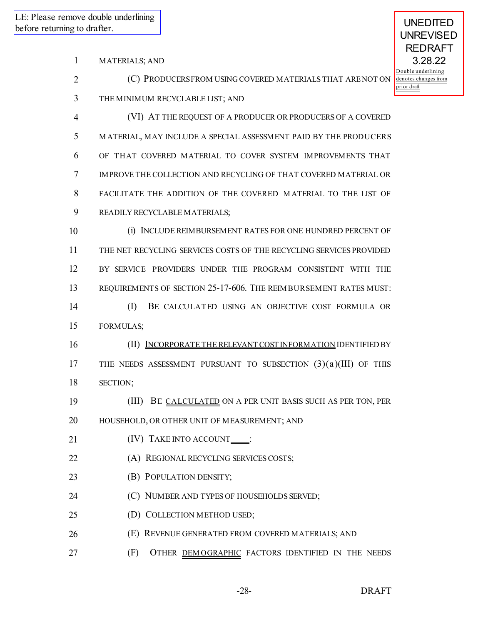|                |                                                                     | <b>REDRAFT</b>                                            |
|----------------|---------------------------------------------------------------------|-----------------------------------------------------------|
| 1              | <b>MATERIALS; AND</b>                                               | 3.28.22                                                   |
| $\overline{2}$ | (C) PRODUCERSFROM USING COVERED MATERIALS THAT ARENOT ON            | Double underlining<br>denotes changes from<br>prior draft |
| 3              | THE MINIMUM RECYCLABLE LIST; AND                                    |                                                           |
| 4              | (VI) AT THE REQUEST OF A PRODUCER OR PRODUCERS OF A COVERED         |                                                           |
| 5              | MATERIAL, MAY INCLUDE A SPECIAL ASSESSMENT PAID BY THE PRODUCERS    |                                                           |
| 6              | OF THAT COVERED MATERIAL TO COVER SYSTEM IMPROVEMENTS THAT          |                                                           |
| $\tau$         | IMPROVE THE COLLECTION AND RECYCLING OF THAT COVERED MATERIAL OR    |                                                           |
| 8              | FACILITATE THE ADDITION OF THE COVERED MATERIAL TO THE LIST OF      |                                                           |
| 9              | READILY RECYCLABLE MATERIALS;                                       |                                                           |
| 10             | (i) INCLUDE REIMBURSEMENT RATES FOR ONE HUNDRED PERCENT OF          |                                                           |
| 11             | THE NET RECYCLING SERVICES COSTS OF THE RECYCLING SERVICES PROVIDED |                                                           |
| 12             | BY SERVICE PROVIDERS UNDER THE PROGRAM CONSISTENT WITH THE          |                                                           |
| 13             | REQUIREMENTS OF SECTION 25-17-606. THE REIMBURSEMENT RATES MUST:    |                                                           |
| 14             | (I)<br>BE CALCULATED USING AN OBJECTIVE COST FORMULA OR             |                                                           |
| 15             | FORMULAS;                                                           |                                                           |
| 16             | (II) INCORPORATE THE RELEVANT COST INFORMATION IDENTIFIED BY        |                                                           |
| 17             | THE NEEDS ASSESSMENT PURSUANT TO SUBSECTION $(3)(a)(III)$ OF THIS   |                                                           |
| 18             | SECTION;                                                            |                                                           |
| 19             | (III) BE CALCULATED ON A PER UNIT BASIS SUCH AS PER TON, PER        |                                                           |
| 20             | HOUSEHOLD, OR OTHER UNIT OF MEASUREMENT; AND                        |                                                           |
| 21             | (IV) TAKE INTO ACCOUNT____:                                         |                                                           |
| 22             | (A) REGIONAL RECYCLING SERVICES COSTS;                              |                                                           |
| 23             | (B) POPULATION DENSITY;                                             |                                                           |
| 24             | (C) NUMBER AND TYPES OF HOUSEHOLDS SERVED;                          |                                                           |
| 25             | (D) COLLECTION METHOD USED;                                         |                                                           |
| 26             | (E) REVENUE GENERATED FROM COVERED MATERIALS; AND                   |                                                           |
| 27             | (F)<br>OTHER DEMOGRAPHIC FACTORS IDENTIFIED IN THE NEEDS            |                                                           |
|                |                                                                     |                                                           |

UNEDITED UNREVISED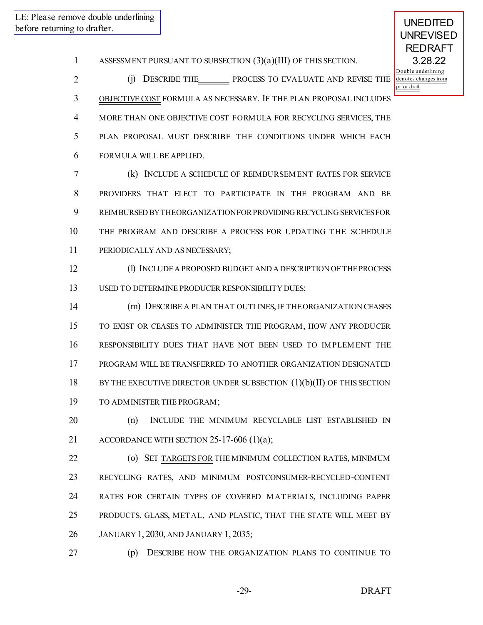UNEDITED

ASSESSMENT PURSUANT TO SUBSECTION (3)(a)(III) OF THIS SECTION.

2 (j) DESCRIBE THE PROCESS TO EVALUATE AND REVISE THE OBJECTIVE COST FORMULA AS NECESSARY. IF THE PLAN PROPOSAL INCLUDES MORE THAN ONE OBJECTIVE COST FORMULA FOR RECYCLING SERVICES, THE PLAN PROPOSAL MUST DESCRIBE THE CONDITIONS UNDER WHICH EACH FORMULA WILL BE APPLIED.

 (k) INCLUDE A SCHEDULE OF REIMBURSEM ENT RATES FOR SERVICE PROVIDERS THAT ELECT TO PARTICIPATE IN THE PROGRAM AND BE 9 REIMBURSED BY THEORGANIZATION FOR PROVIDING RECYCLING SERVICES FOR THE PROGRAM AND DESCRIBE A PROCESS FOR UPDATING THE SCHEDULE PERIODICALLY AND AS NECESSARY;

 (l) INCLUDEA PROPOSED BUDGET AND A DESCRIPTION OF THEPROCESS USED TO DETERMINE PRODUCER RESPONSIBILITY DUES;

 (m) DESCRIBE A PLAN THAT OUTLINES, IF THEORGANIZATION CEASES TO EXIST OR CEASES TO ADMINISTER THE PROGRAM, HOW ANY PRODUCER RESPONSIBILITY DUES THAT HAVE NOT BEEN USED TO IM PLEM ENT THE PROGRAM WILL BE TRANSFERRED TO ANOTHER ORGANIZATION DESIGNATED 18 BY THE EXECUTIVE DIRECTOR UNDER SUBSECTION (1)(b)(II) OF THIS SECTION TO ADMINISTER THE PROGRAM;

 (n) INCLUDE THE MINIMUM RECYCLABLE LIST ESTABLISHED IN 21 ACCORDANCE WITH SECTION 25-17-606 (1)(a);

**(o) SET TARGETS FOR THE MINIMUM COLLECTION RATES, MINIMUM**  RECYCLING RATES, AND MINIMUM POSTCONSUMER-RECYCLED-CONTENT RATES FOR CERTAIN TYPES OF COVERED M ATERIALS, INCLUDING PAPER PRODUCTS, GLASS, METAL, AND PLASTIC, THAT THE STATE WILL MEET BY JANUARY 1, 2030, AND JANUARY 1, 2035;

(p) DESCRIBE HOW THE ORGANIZATION PLANS TO CONTINUE TO

-29- DRAFT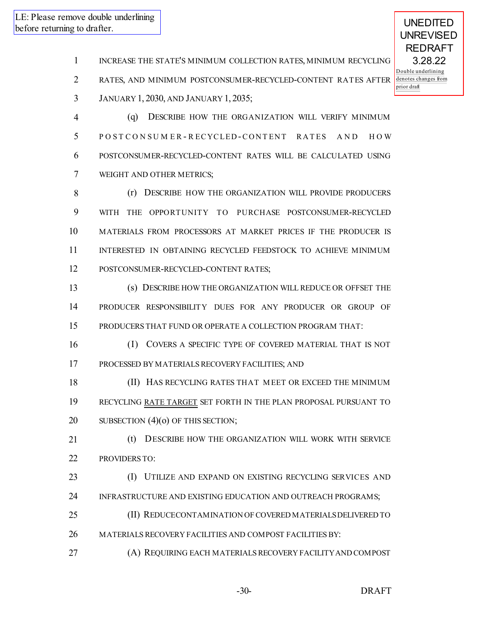UNEDITED

INCREASE THE STATE'S MINIMUM COLLECTION RATES, MINIMUM RECYCLING

RATES, AND MINIMUM POSTCONSUMER-RECYCLED-CONTENT RATES AFTER

JANUARY 1, 2030, AND JANUARY 1, 2035;

 (q) DESCRIBE HOW THE ORGANIZATION WILL VERIFY MINIMUM 5 POSTCONSUMER-RECYCLED-CONTENT RATES AND HOW POSTCONSUMER-RECYCLED-CONTENT RATES WILL BE CALCULATED USING WEIGHT AND OTHER METRICS;

8 (r) DESCRIBE HOW THE ORGANIZATION WILL PROVIDE PRODUCERS WITH THE OPPORTUNITY TO PURCHASE POSTCONSUMER-RECYCLED MATERIALS FROM PROCESSORS AT MARKET PRICES IF THE PRODUCER IS INTERESTED IN OBTAINING RECYCLED FEEDSTOCK TO ACHIEVE MINIMUM POSTCONSUMER-RECYCLED-CONTENT RATES;

 (s) DESCRIBE HOW THE ORGANIZATION WILL REDUCE OR OFFSET THE PRODUCER RESPONSIBILITY DUES FOR ANY PRODUCER OR GROUP OF PRODUCERS THAT FUND OR OPERATE A COLLECTION PROGRAM THAT:

 (I) COVERS A SPECIFIC TYPE OF COVERED MATERIAL THAT IS NOT PROCESSED BY MATERIALS RECOVERY FACILITIES; AND

 (II) HAS RECYCLING RATES THAT MEET OR EXCEED THE MINIMUM RECYCLING RATE TARGET SET FORTH IN THE PLAN PROPOSAL PURSUANT TO 20 SUBSECTION (4)(0) OF THIS SECTION;

 (t) DESCRIBE HOW THE ORGANIZATION WILL WORK WITH SERVICE PROVIDERS TO:

 (I) UTILIZE AND EXPAND ON EXISTING RECYCLING SERVICES AND INFRASTRUCTURE AND EXISTING EDUCATION AND OUTREACH PROGRAMS;

- (II) REDUCECONTAMINATION OF COVERED MATERIALSDELIVERED TO
- MATERIALS RECOVERY FACILITIES AND COMPOST FACILITIES BY:
- (A) REQUIRING EACH MATERIALSRECOVERY FACILITYAND COMPOST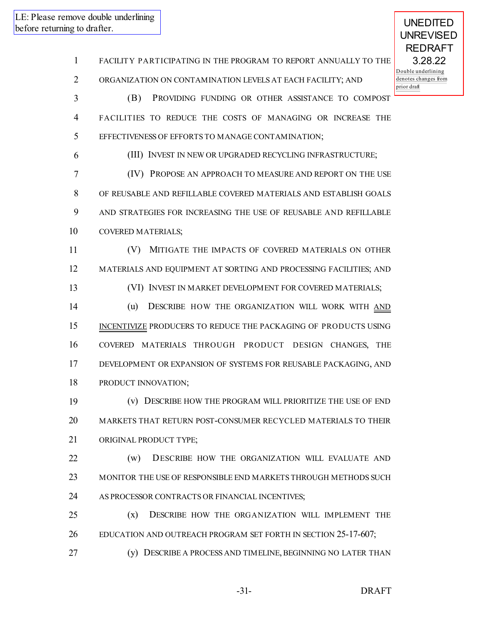FACILITY PARTICIPATING IN THE PROGRAM TO REPORT ANNUALLY TO THE ORGANIZATION ON CONTAMINATION LEVELS AT EACH FACILITY; AND

 (B) PROVIDING FUNDING OR OTHER ASSISTANCE TO COMPOST FACILITIES TO REDUCE THE COSTS OF MANAGING OR INCREASE THE EFFECTIVENESS OF EFFORTS TO MANAGE CONTAMINATION;

(III) INVEST IN NEW OR UPGRADED RECYCLING INFRASTRUCTURE;

 (IV) PROPOSE AN APPROACH TO MEASURE AND REPORT ON THE USE OF REUSABLE AND REFILLABLE COVERED MATERIALS AND ESTABLISH GOALS AND STRATEGIES FOR INCREASING THE USE OF REUSABLE AND REFILLABLE COVERED MATERIALS;

 (V) MITIGATE THE IMPACTS OF COVERED MATERIALS ON OTHER MATERIALS AND EQUIPMENT AT SORTING AND PROCESSING FACILITIES; AND

(VI) INVEST IN MARKET DEVELOPMENT FOR COVERED MATERIALS;

14 (u) DESCRIBE HOW THE ORGANIZATION WILL WORK WITH AND 15 INCENTIVIZE PRODUCERS TO REDUCE THE PACKAGING OF PRODUCTS USING COVERED MATERIALS THROUGH PRODUCT DESIGN CHANGES, THE DEVELOPMENT OR EXPANSION OF SYSTEMS FOR REUSABLE PACKAGING, AND PRODUCT INNOVATION;

 (v) DESCRIBE HOW THE PROGRAM WILL PRIORITIZE THE USE OF END MARKETS THAT RETURN POST-CONSUMER RECYCLED MATERIALS TO THEIR ORIGINAL PRODUCT TYPE;

 (w) DESCRIBE HOW THE ORGANIZATION WILL EVALUATE AND MONITOR THE USE OF RESPONSIBLE END MARKETS THROUGH METHODS SUCH AS PROCESSOR CONTRACTS OR FINANCIAL INCENTIVES;

 (x) DESCRIBE HOW THE ORGANIZATION WILL IMPLEMENT THE EDUCATION AND OUTREACH PROGRAM SET FORTH IN SECTION 25-17-607;

(y) DESCRIBE A PROCESS AND TIMELINE, BEGINNING NO LATER THAN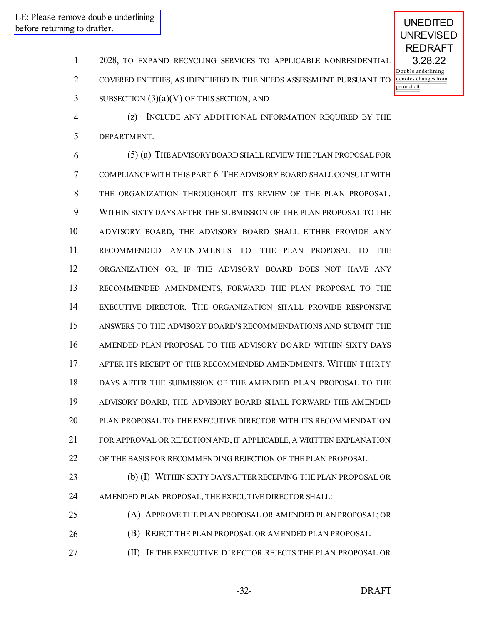UNEDITED

- 2028, TO EXPAND RECYCLING SERVICES TO APPLICABLE NONRESIDENTIAL
- COVERED ENTITIES, AS IDENTIFIED IN THE NEEDS ASSESSMENT PURSUANT TO
- SUBSECTION  $(3)(a)(V)$  OF THIS SECTION; AND
- (z) INCLUDE ANY ADDITIONAL INFORMATION REQUIRED BY THE DEPARTMENT.

 (5) (a) THEADVISORYBOARD SHALL REVIEW THE PLAN PROPOSAL FOR COMPLIANCEWITH THIS PART 6. THE ADVISORY BOARD SHALLCONSULT WITH THE ORGANIZATION THROUGHOUT ITS REVIEW OF THE PLAN PROPOSAL. WITHIN SIXTY DAYS AFTER THE SUBMISSION OF THE PLAN PROPOSAL TO THE ADVISORY BOARD, THE ADVISORY BOARD SHALL EITHER PROVIDE ANY RECOMMENDED AM ENDM ENTS TO THE PLAN PROPOSAL TO THE ORGANIZATION OR, IF THE ADVISORY BOARD DOES NOT HAVE ANY RECOMMENDED AMENDMENTS, FORWARD THE PLAN PROPOSAL TO THE EXECUTIVE DIRECTOR. THE ORGANIZATION SHALL PROVIDE RESPONSIVE ANSWERS TO THE ADVISORY BOARD'S RECOMMENDATIONS AND SUBMIT THE AMENDED PLAN PROPOSAL TO THE ADVISORY BOARD WITHIN SIXTY DAYS AFTER ITS RECEIPT OF THE RECOMMENDED AMENDMENTS. WITHIN THIRTY DAYS AFTER THE SUBMISSION OF THE AMENDED PLAN PROPOSAL TO THE ADVISORY BOARD, THE ADVISORY BOARD SHALL FORWARD THE AMENDED PLAN PROPOSAL TO THE EXECUTIVE DIRECTOR WITH ITS RECOMMENDATION 21 FOR APPROVAL OR REJECTION AND, IF APPLICABLE, A WRITTEN EXPLANATION OF THE BASIS FOR RECOMMENDING REJECTION OF THE PLAN PROPOSAL. 23 (b) (I) WITHIN SIXTY DAYS AFTER RECEIVING THE PLAN PROPOSAL OR AMENDED PLAN PROPOSAL, THE EXECUTIVE DIRECTOR SHALL:

- (A) APPROVE THE PLAN PROPOSAL OR AMENDED PLAN PROPOSAL;OR (B) REJECT THE PLAN PROPOSAL OR AMENDED PLAN PROPOSAL.
- **III** IF THE EXECUTIVE DIRECTOR REJECTS THE PLAN PROPOSAL OR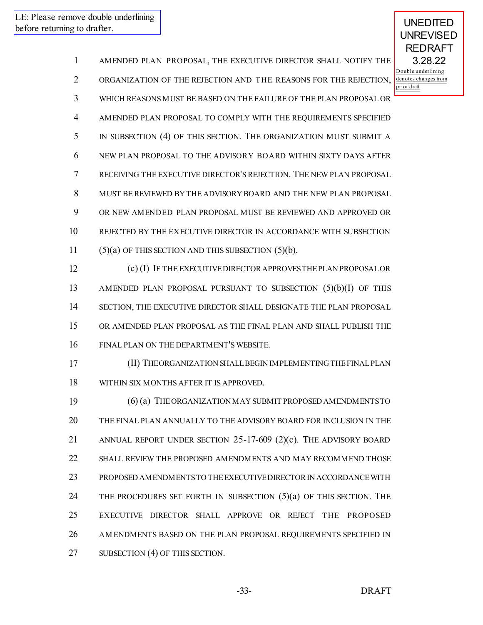UNEDITED

 AMENDED PLAN PROPOSAL, THE EXECUTIVE DIRECTOR SHALL NOTIFY THE ORGANIZATION OF THE REJECTION AND THE REASONS FOR THE REJECTION, WHICH REASONS MUST BE BASED ON THE FAILURE OF THE PLAN PROPOSAL OR AMENDED PLAN PROPOSAL TO COMPLY WITH THE REQUIREMENTS SPECIFIED IN SUBSECTION (4) OF THIS SECTION. THE ORGANIZATION MUST SUBMIT A NEW PLAN PROPOSAL TO THE ADVISORY BOARD WITHIN SIXTY DAYS AFTER RECEIVING THE EXECUTIVE DIRECTOR'S REJECTION. THE NEW PLAN PROPOSAL MUST BE REVIEWED BY THE ADVISORY BOARD AND THE NEW PLAN PROPOSAL OR NEW AMENDED PLAN PROPOSAL MUST BE REVIEWED AND APPROVED OR REJECTED BY THE EXECUTIVE DIRECTOR IN ACCORDANCE WITH SUBSECTION  $(5)(a)$  OF THIS SECTION AND THIS SUBSECTION  $(5)(b)$ .

12 (c) (I) IF THE EXECUTIVE DIRECTOR APPROVES THE PLAN PROPOSAL OR AMENDED PLAN PROPOSAL PURSUANT TO SUBSECTION (5)(b)(I) OF THIS SECTION, THE EXECUTIVE DIRECTOR SHALL DESIGNATE THE PLAN PROPOSAL OR AMENDED PLAN PROPOSAL AS THE FINAL PLAN AND SHALL PUBLISH THE FINAL PLAN ON THE DEPARTMENT'S WEBSITE.

 (II) THEORGANIZATION SHALLBEGIN IMPLEMENTING THEFINALPLAN WITHIN SIX MONTHS AFTER IT IS APPROVED.

 (6) (a) THEORGANIZATION MAY SUBMIT PROPOSED AMENDMENTSTO THE FINAL PLAN ANNUALLY TO THE ADVISORY BOARD FOR INCLUSION IN THE ANNUAL REPORT UNDER SECTION 25-17-609 (2)(c). THE ADVISORY BOARD SHALL REVIEW THE PROPOSED AMENDMENTS AND MAY RECOMMEND THOSE PROPOSED AMENDMENTSTO THEEXECUTIVEDIRECTORIN ACCORDANCEWITH THE PROCEDURES SET FORTH IN SUBSECTION (5)(a) OF THIS SECTION. THE EXECUTIVE DIRECTOR SHALL APPROVE OR REJECT THE PROPOSED AM ENDMENTS BASED ON THE PLAN PROPOSAL REQUIREMENTS SPECIFIED IN SUBSECTION (4) OF THIS SECTION.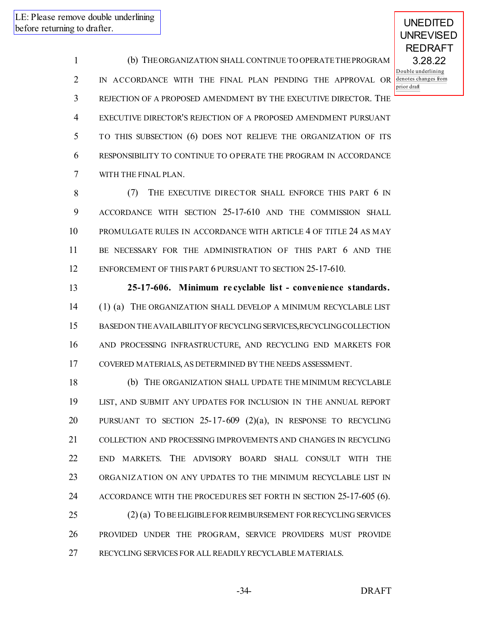UNEDITED UNREVISED

 (b) THEORGANIZATION SHALL CONTINUE TO OPERATETHEPROGRAM IN ACCORDANCE WITH THE FINAL PLAN PENDING THE APPROVAL OR REJECTION OF A PROPOSED AMENDMENT BY THE EXECUTIVE DIRECTOR. THE EXECUTIVE DIRECTOR'S REJECTION OF A PROPOSED AMENDMENT PURSUANT TO THIS SUBSECTION (6) DOES NOT RELIEVE THE ORGANIZATION OF ITS RESPONSIBILITY TO CONTINUE TO OPERATE THE PROGRAM IN ACCORDANCE WITH THE FINAL PLAN.

 (7) THE EXECUTIVE DIRECTOR SHALL ENFORCE THIS PART 6 IN ACCORDANCE WITH SECTION 25-17-610 AND THE COMMISSION SHALL PROMULGATE RULES IN ACCORDANCE WITH ARTICLE 4 OF TITLE 24 AS MAY BE NECESSARY FOR THE ADMINISTRATION OF THIS PART 6 AND THE 12 ENFORCEMENT OF THIS PART 6 PURSUANT TO SECTION 25-17-610.

 **25-17-606. Minimum re cyclable list - convenience standards.** (1) (a) THE ORGANIZATION SHALL DEVELOP A MINIMUM RECYCLABLE LIST BASED ON THEAVAILABILITYOF RECYCLING SERVICES,RECYCLING COLLECTION AND PROCESSING INFRASTRUCTURE, AND RECYCLING END MARKETS FOR COVERED MATERIALS, AS DETERMINED BY THE NEEDS ASSESSMENT.

 (b) THE ORGANIZATION SHALL UPDATE THE MINIMUM RECYCLABLE LIST, AND SUBMIT ANY UPDATES FOR INCLUSION IN THE ANNUAL REPORT PURSUANT TO SECTION 25-17-609 (2)(a), IN RESPONSE TO RECYCLING COLLECTION AND PROCESSING IMPROVEMENTS AND CHANGES IN RECYCLING END MARKETS. THE ADVISORY BOARD SHALL CONSULT WITH THE ORGANIZATION ON ANY UPDATES TO THE MINIMUM RECYCLABLE LIST IN 24 ACCORDANCE WITH THE PROCEDURES SET FORTH IN SECTION 25-17-605 (6). 25 (2) (a) TO BE ELIGIBLE FOR REIMBURSEMENT FOR RECYCLING SERVICES PROVIDED UNDER THE PROGRAM, SERVICE PROVIDERS MUST PROVIDE

RECYCLING SERVICES FOR ALL READILY RECYCLABLE MATERIALS.

-34- DRAFT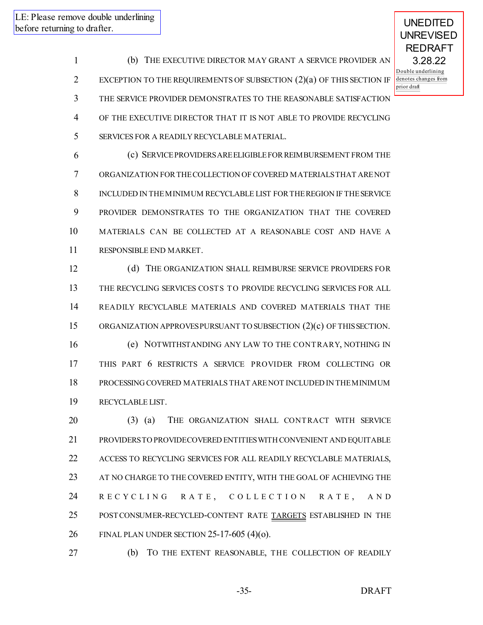UNEDITED

 (b) THE EXECUTIVE DIRECTOR MAY GRANT A SERVICE PROVIDER AN EXCEPTION TO THE REQUIREMENTS OF SUBSECTION (2)(a) OF THIS SECTION IF THE SERVICE PROVIDER DEMONSTRATES TO THE REASONABLE SATISFACTION OF THE EXECUTIVE DIRECTOR THAT IT IS NOT ABLE TO PROVIDE RECYCLING SERVICES FOR A READILY RECYCLABLE MATERIAL.

 (c) SERVICEPROVIDERSAREELIGIBLEFORREIMBURSEMENT FROM THE ORGANIZATION FORTHECOLLECTION OF COVERED MATERIALSTHAT ARENOT INCLUDED IN THEMINIMUM RECYCLABLE LIST FORTHEREGION IF THESERVICE PROVIDER DEMONSTRATES TO THE ORGANIZATION THAT THE COVERED MATERIALS CAN BE COLLECTED AT A REASONABLE COST AND HAVE A RESPONSIBLE END MARKET.

 (d) THE ORGANIZATION SHALL REIMBURSE SERVICE PROVIDERS FOR THE RECYCLING SERVICES COSTS TO PROVIDE RECYCLING SERVICES FOR ALL READILY RECYCLABLE MATERIALS AND COVERED MATERIALS THAT THE ORGANIZATION APPROVESPURSUANT TO SUBSECTION (2)(c) OF THISSECTION. (e) NOTWITHSTANDING ANY LAW TO THE CONTRARY, NOTHING IN THIS PART 6 RESTRICTS A SERVICE PROVIDER FROM COLLECTING OR PROCESSING COVERED MATERIALS THAT ARENOT INCLUDED IN THEMINIMUM RECYCLABLE LIST.

 (3) (a) THE ORGANIZATION SHALL CONTRACT WITH SERVICE PROVIDERSTO PROVIDECOVERED ENTITIESWITH CONVENIENT AND EQUITABLE ACCESS TO RECYCLING SERVICES FOR ALL READILY RECYCLABLE MATERIALS, AT NO CHARGE TO THE COVERED ENTITY, WITH THE GOAL OF ACHIEVING THE 24 RECYCLING RATE, COLLECTION RATE, AND 25 POST CONSUMER-RECYCLED-CONTENT RATE TARGETS ESTABLISHED IN THE FINAL PLAN UNDER SECTION 25-17-605 (4)(o).

(b) TO THE EXTENT REASONABLE, THE COLLECTION OF READILY

-35- DRAFT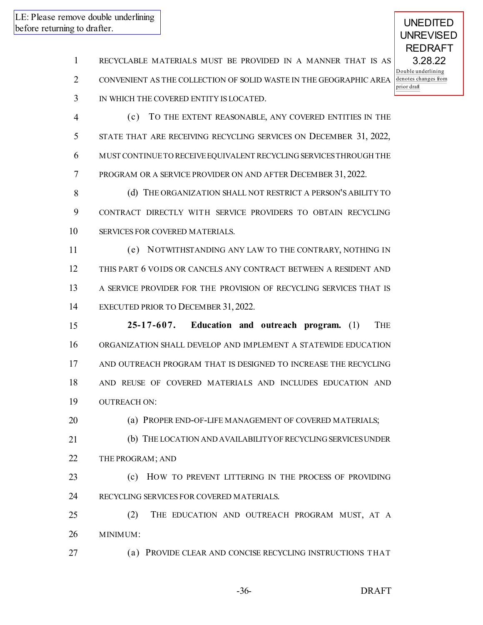- RECYCLABLE MATERIALS MUST BE PROVIDED IN A MANNER THAT IS AS
- CONVENIENT AS THE COLLECTION OF SOLID WASTE IN THE GEOGRAPHIC AREA
- IN WHICH THE COVERED ENTITY IS LOCATED.
- (c) TO THE EXTENT REASONABLE, ANY COVERED ENTITIES IN THE STATE THAT ARE RECEIVING RECYCLING SERVICES ON DECEMBER 31, 2022, MUST CONTINUETO RECEIVEEQUIVALENT RECYCLING SERVICESTHROUGH THE PROGRAM OR A SERVICE PROVIDER ON AND AFTER DECEMBER 31, 2022.
- (d) THE ORGANIZATION SHALL NOT RESTRICT A PERSON'S ABILITY TO CONTRACT DIRECTLY WITH SERVICE PROVIDERS TO OBTAIN RECYCLING SERVICES FOR COVERED MATERIALS.
- (e) NOTWITHSTANDING ANY LAW TO THE CONTRARY, NOTHING IN THIS PART 6 VOIDS OR CANCELS ANY CONTRACT BETWEEN A RESIDENT AND A SERVICE PROVIDER FOR THE PROVISION OF RECYCLING SERVICES THAT IS EXECUTED PRIOR TO DECEMBER 31, 2022.
- **25-17-607. Education and outreach program.** (1) THE ORGANIZATION SHALL DEVELOP AND IMPLEMENT A STATEWIDE EDUCATION AND OUTREACH PROGRAM THAT IS DESIGNED TO INCREASE THE RECYCLING AND REUSE OF COVERED MATERIALS AND INCLUDES EDUCATION AND OUTREACH ON:
- (a) PROPER END-OF-LIFE MANAGEMENT OF COVERED MATERIALS;
- (b) THE LOCATION AND AVAILABILITYOF RECYCLING SERVICESUNDER 22 THE PROGRAM; AND
- (c) HOW TO PREVENT LITTERING IN THE PROCESS OF PROVIDING RECYCLING SERVICES FOR COVERED MATERIALS.
- (2) THE EDUCATION AND OUTREACH PROGRAM MUST, AT A MINIMUM:
- (a) PROVIDE CLEAR AND CONCISE RECYCLING INSTRUCTIONS THAT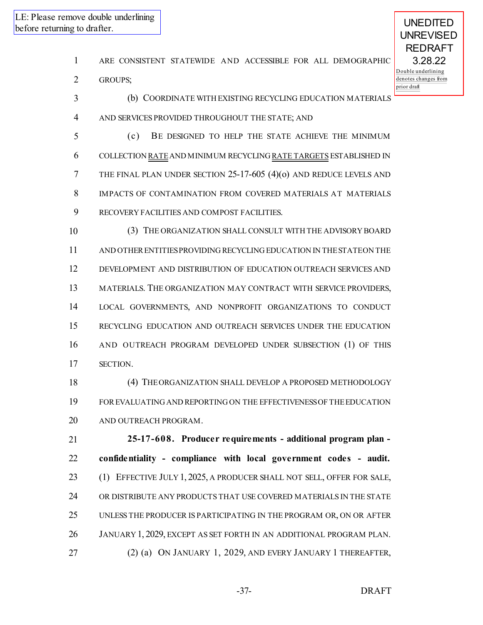| ARE CONSISTENT STATEWIDE AND ACCESSIBLE FOR ALL DEMOGRAPHIC |  |
|-------------------------------------------------------------|--|
|-------------------------------------------------------------|--|

(b) COORDINATE WITH EXISTING RECYCLING EDUCATION MATERIALS

GROUPS;

- AND SERVICES PROVIDED THROUGHOUT THE STATE; AND (c) BE DESIGNED TO HELP THE STATE ACHIEVE THE MINIMUM COLLECTION RATEAND MINIMUM RECYCLING RATE TARGETS ESTABLISHED IN THE FINAL PLAN UNDER SECTION 25-17-605 (4)(o) AND REDUCE LEVELS AND IMPACTS OF CONTAMINATION FROM COVERED MATERIALS AT MATERIALS RECOVERY FACILITIES AND COMPOST FACILITIES. (3) THE ORGANIZATION SHALL CONSULT WITH THE ADVISORY BOARD AND OTHERENTITIESPROVIDING RECYCLING EDUCATION IN THESTATEON THE DEVELOPMENT AND DISTRIBUTION OF EDUCATION OUTREACH SERVICES AND MATERIALS. THE ORGANIZATION MAY CONTRACT WITH SERVICE PROVIDERS, LOCAL GOVERNMENTS, AND NONPROFIT ORGANIZATIONS TO CONDUCT RECYCLING EDUCATION AND OUTREACH SERVICES UNDER THE EDUCATION
- AND OUTREACH PROGRAM DEVELOPED UNDER SUBSECTION (1) OF THIS SECTION.
- (4) THEORGANIZATION SHALL DEVELOP A PROPOSED METHODOLOGY FOREVALUATING AND REPORTING ON THE EFFECTIVENESSOF THEEDUCATION AND OUTREACH PROGRAM.

 **25-17-608. Producer requirements - additional program plan - confidentiality - compliance with local government codes - audit.** (1) EFFECTIVE JULY 1, 2025, A PRODUCER SHALL NOT SELL, OFFER FOR SALE, OR DISTRIBUTE ANY PRODUCTS THAT USE COVERED MATERIALS IN THE STATE UNLESS THE PRODUCER IS PARTICIPATING IN THE PROGRAM OR, ON OR AFTER JANUARY 1, 2029, EXCEPT AS SET FORTH IN AN ADDITIONAL PROGRAM PLAN. (2) (a) ON JANUARY 1, 2029, AND EVERY JANUARY 1 THEREAFTER,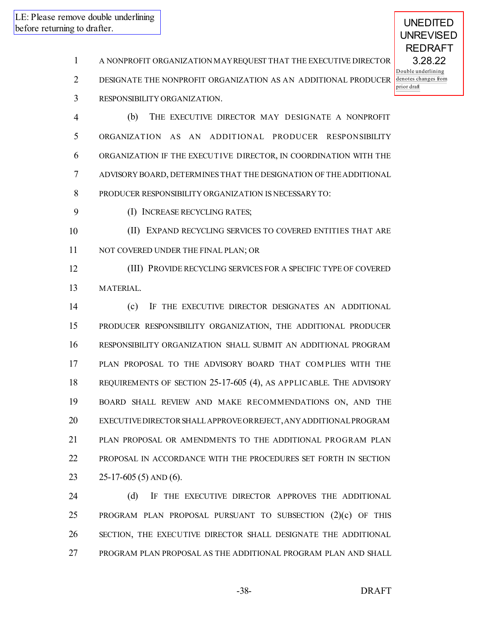UNEDITED

- A NONPROFIT ORGANIZATION MAYREQUEST THAT THE EXECUTIVE DIRECTOR
- DESIGNATE THE NONPROFIT ORGANIZATION AS AN ADDITIONAL PRODUCER
- RESPONSIBILITY ORGANIZATION.

 (b) THE EXECUTIVE DIRECTOR MAY DESIGNATE A NONPROFIT ORGANIZATION AS AN ADDITIONAL PRODUCER RESPONSIBILITY ORGANIZATION IF THE EXECUTIVE DIRECTOR, IN COORDINATION WITH THE ADVISORY BOARD, DETERMINES THAT THE DESIGNATION OF THEADDITIONAL PRODUCER RESPONSIBILITY ORGANIZATION IS NECESSARY TO:

- (I) INCREASE RECYCLING RATES;
- (II) EXPAND RECYCLING SERVICES TO COVERED ENTITIES THAT ARE NOT COVERED UNDER THE FINAL PLAN; OR

 (III) PROVIDE RECYCLING SERVICES FOR A SPECIFIC TYPE OF COVERED MATERIAL.

 (c) IF THE EXECUTIVE DIRECTOR DESIGNATES AN ADDITIONAL PRODUCER RESPONSIBILITY ORGANIZATION, THE ADDITIONAL PRODUCER RESPONSIBILITY ORGANIZATION SHALL SUBMIT AN ADDITIONAL PROGRAM 17 PLAN PROPOSAL TO THE ADVISORY BOARD THAT COMPLIES WITH THE REQUIREMENTS OF SECTION 25-17-605 (4), AS APPLICABLE. THE ADVISORY BOARD SHALL REVIEW AND MAKE RECOMMENDATIONS ON, AND THE EXECUTIVEDIRECTORSHALLAPPROVEORREJECT,ANYADDITIONALPROGRAM PLAN PROPOSAL OR AMENDMENTS TO THE ADDITIONAL PROGRAM PLAN PROPOSAL IN ACCORDANCE WITH THE PROCEDURES SET FORTH IN SECTION 25-17-605 (5) AND (6).

24 (d) IF THE EXECUTIVE DIRECTOR APPROVES THE ADDITIONAL PROGRAM PLAN PROPOSAL PURSUANT TO SUBSECTION (2)(c) OF THIS SECTION, THE EXECUTIVE DIRECTOR SHALL DESIGNATE THE ADDITIONAL PROGRAM PLAN PROPOSAL AS THE ADDITIONAL PROGRAM PLAN AND SHALL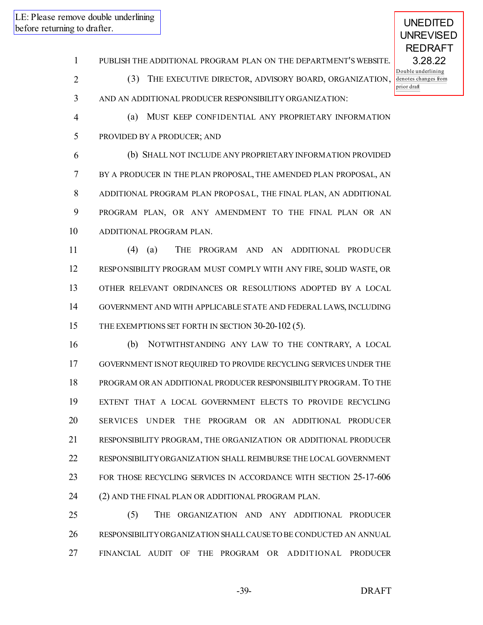UNEDITED

PUBLISH THE ADDITIONAL PROGRAM PLAN ON THE DEPARTMENT'S WEBSITE.

(3) THE EXECUTIVE DIRECTOR, ADVISORY BOARD, ORGANIZATION,

AND AN ADDITIONAL PRODUCER RESPONSIBILITY ORGANIZATION:

(a) MUST KEEP CONFIDENTIAL ANY PROPRIETARY INFORMATION

PROVIDED BY A PRODUCER; AND

 (b) SHALL NOT INCLUDE ANY PROPRIETARY INFORMATION PROVIDED BY A PRODUCER IN THE PLAN PROPOSAL, THE AMENDED PLAN PROPOSAL, AN ADDITIONAL PROGRAM PLAN PROPOSAL, THE FINAL PLAN, AN ADDITIONAL PROGRAM PLAN, OR ANY AMENDMENT TO THE FINAL PLAN OR AN ADDITIONAL PROGRAM PLAN.

 (4) (a) THE PROGRAM AND AN ADDITIONAL PRODUCER RESPONSIBILITY PROGRAM MUST COMPLY WITH ANY FIRE, SOLID WASTE, OR OTHER RELEVANT ORDINANCES OR RESOLUTIONS ADOPTED BY A LOCAL GOVERNMENT AND WITH APPLICABLE STATE AND FEDERAL LAWS, INCLUDING 15 THE EXEMPTIONS SET FORTH IN SECTION 30-20-102 (5).

 (b) NOTWITHSTANDING ANY LAW TO THE CONTRARY, A LOCAL GOVERNMENT ISNOT REQUIRED TO PROVIDE RECYCLING SERVICES UNDER THE PROGRAM ORAN ADDITIONAL PRODUCER RESPONSIBILITY PROGRAM. TO THE EXTENT THAT A LOCAL GOVERNMENT ELECTS TO PROVIDE RECYCLING SERVICES UNDER THE PROGRAM OR AN ADDITIONAL PRODUCER RESPONSIBILITY PROGRAM, THE ORGANIZATION OR ADDITIONAL PRODUCER RESPONSIBILITYORGANIZATION SHALL REIMBURSE THE LOCAL GOVERNMENT FOR THOSE RECYCLING SERVICES IN ACCORDANCE WITH SECTION 25-17-606 (2) AND THE FINAL PLAN OR ADDITIONAL PROGRAM PLAN.

 (5) THE ORGANIZATION AND ANY ADDITIONAL PRODUCER RESPONSIBILITYORGANIZATION SHALLCAUSETO BE CONDUCTED AN ANNUAL FINANCIAL AUDIT OF THE PROGRAM OR ADDITIONAL PRODUCER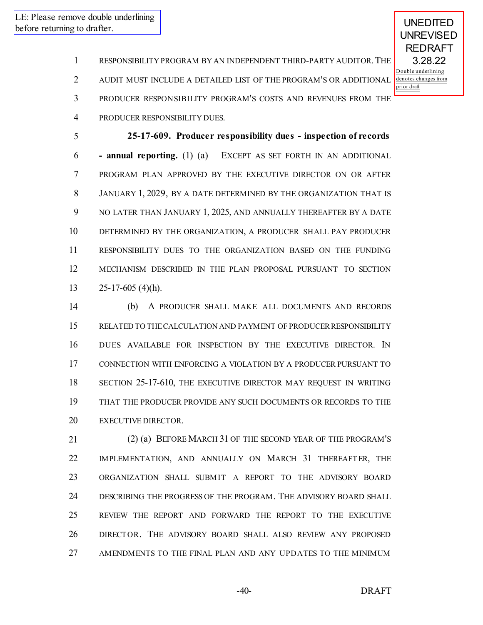UNEDITED

RESPONSIBILITY PROGRAM BY AN INDEPENDENT THIRD-PARTY AUDITOR.THE

AUDIT MUST INCLUDE A DETAILED LIST OF THE PROGRAM'S OR ADDITIONAL

PRODUCER RESPONSIBILITY PROGRAM'S COSTS AND REVENUES FROM THE

PRODUCER RESPONSIBILITY DUES.

 **25-17-609. Producer responsibility dues - inspection of records - annual reporting.** (1) (a) EXCEPT AS SET FORTH IN AN ADDITIONAL PROGRAM PLAN APPROVED BY THE EXECUTIVE DIRECTOR ON OR AFTER JANUARY 1, 2029, BY A DATE DETERMINED BY THE ORGANIZATION THAT IS NO LATER THAN JANUARY 1, 2025, AND ANNUALLY THEREAFTER BY A DATE DETERMINED BY THE ORGANIZATION, A PRODUCER SHALL PAY PRODUCER RESPONSIBILITY DUES TO THE ORGANIZATION BASED ON THE FUNDING MECHANISM DESCRIBED IN THE PLAN PROPOSAL PURSUANT TO SECTION 25-17-605 (4)(h).

 (b) A PRODUCER SHALL MAKE ALL DOCUMENTS AND RECORDS RELATED TO THECALCULATION AND PAYMENT OF PRODUCERRESPONSIBILITY DUES AVAILABLE FOR INSPECTION BY THE EXECUTIVE DIRECTOR. IN CONNECTION WITH ENFORCING A VIOLATION BY A PRODUCER PURSUANT TO SECTION 25-17-610, THE EXECUTIVE DIRECTOR MAY REQUEST IN WRITING THAT THE PRODUCER PROVIDE ANY SUCH DOCUMENTS OR RECORDS TO THE EXECUTIVE DIRECTOR.

 (2) (a) BEFORE MARCH 31 OF THE SECOND YEAR OF THE PROGRAM'S IMPLEMENTATION, AND ANNUALLY ON MARCH 31 THEREAFTER, THE ORGANIZATION SHALL SUBMIT A REPORT TO THE ADVISORY BOARD DESCRIBING THE PROGRESS OF THE PROGRAM. THE ADVISORY BOARD SHALL REVIEW THE REPORT AND FORWARD THE REPORT TO THE EXECUTIVE DIRECTOR. THE ADVISORY BOARD SHALL ALSO REVIEW ANY PROPOSED AMENDMENTS TO THE FINAL PLAN AND ANY UPDATES TO THE MINIMUM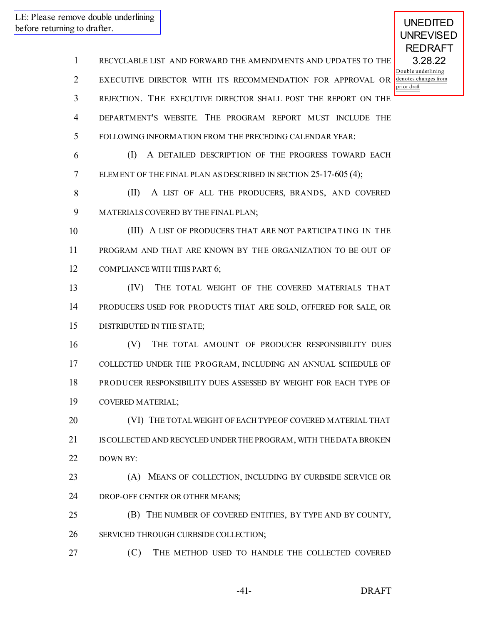RECYCLABLE LIST AND FORWARD THE AMENDMENTS AND UPDATES TO THE EXECUTIVE DIRECTOR WITH ITS RECOMMENDATION FOR APPROVAL OR REJECTION. THE EXECUTIVE DIRECTOR SHALL POST THE REPORT ON THE DEPARTMENT'S WEBSITE. THE PROGRAM REPORT MUST INCLUDE THE FOLLOWING INFORMATION FROM THE PRECEDING CALENDAR YEAR: (I) A DETAILED DESCRIPTION OF THE PROGRESS TOWARD EACH ELEMENT OF THE FINAL PLAN AS DESCRIBED IN SECTION 25-17-605 (4); (II) A LIST OF ALL THE PRODUCERS, BRANDS, AND COVERED MATERIALS COVERED BY THE FINAL PLAN; (III) A LIST OF PRODUCERS THAT ARE NOT PARTICIPATING IN THE PROGRAM AND THAT ARE KNOWN BY THE ORGANIZATION TO BE OUT OF 12 COMPLIANCE WITH THIS PART 6; (IV) THE TOTAL WEIGHT OF THE COVERED MATERIALS THAT PRODUCERS USED FOR PRODUCTS THAT ARE SOLD, OFFERED FOR SALE, OR DISTRIBUTED IN THE STATE; (V) THE TOTAL AMOUNT OF PRODUCER RESPONSIBILITY DUES COLLECTED UNDER THE PROGRAM, INCLUDING AN ANNUAL SCHEDULE OF PRODUCER RESPONSIBILITY DUES ASSESSED BY WEIGHT FOR EACH TYPE OF COVERED MATERIAL; (VI) THE TOTALWEIGHT OF EACH TYPEOF COVERED MATERIAL THAT ISCOLLECTED AND RECYCLED UNDERTHE PROGRAM, WITH THEDATA BROKEN DOWN BY: (A) MEANS OF COLLECTION, INCLUDING BY CURBSIDE SERVICE OR DROP-OFF CENTER OR OTHER MEANS; (B) THE NUMBER OF COVERED ENTITIES, BY TYPE AND BY COUNTY, SERVICED THROUGH CURBSIDE COLLECTION; (C) THE METHOD USED TO HANDLE THE COLLECTED COVERED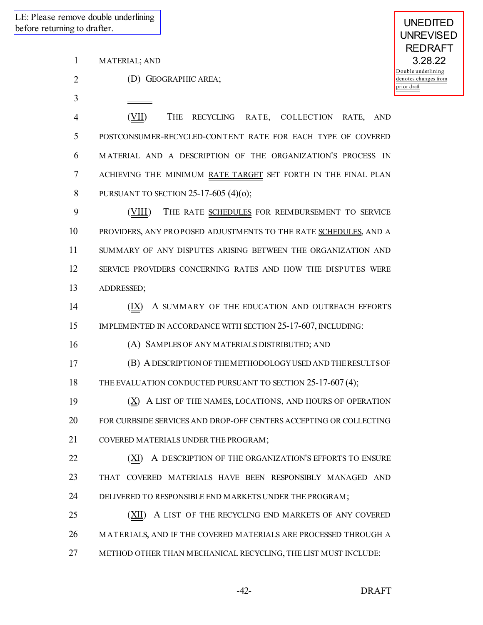1 MATERIAL; AND

2 (D) GEOGRAPHIC AREA;

3

 (VII) THE RECYCLING RATE, COLLECTION RATE, AND POSTCONSUMER-RECYCLED-CONTENT RATE FOR EACH TYPE OF COVERED M ATERIAL AND A DESCRIPTION OF THE ORGANIZATION'S PROCESS IN ACHIEVING THE MINIMUM RATE TARGET SET FORTH IN THE FINAL PLAN PURSUANT TO SECTION 25-17-605 (4)(o);

9 (VIII) THE RATE SCHEDULES FOR REIMBURSEMENT TO SERVICE 10 PROVIDERS, ANY PROPOSED ADJUSTMENTS TO THE RATE SCHEDULES, AND A 11 SUMMARY OF ANY DISPUTES ARISING BETWEEN THE ORGANIZATION AND 12 SERVICE PROVIDERS CONCERNING RATES AND HOW THE DISPUTES WERE 13 ADDRESSED;

14  $(IX)$  A SUMMARY OF THE EDUCATION AND OUTREACH EFFORTS 15 IMPLEMENTED IN ACCORDANCE WITH SECTION 25-17-607, INCLUDING:

16 (A) SAMPLES OF ANY MATERIALS DISTRIBUTED; AND

17 (B) ADESCRIPTION OF THEMETHODOLOGYUSED AND THERESULTSOF 18 THE EVALUATION CONDUCTED PURSUANT TO SECTION 25-17-607 (4):

19  $(X)$  A LIST OF THE NAMES, LOCATIONS, AND HOURS OF OPERATION 20 FOR CURBSIDE SERVICES AND DROP-OFF CENTERS ACCEPTING OR COLLECTING 21 COVERED MATERIALS UNDER THE PROGRAM;

22 **(XI)** A DESCRIPTION OF THE ORGANIZATION'S EFFORTS TO ENSURE 23 THAT COVERED MATERIALS HAVE BEEN RESPONSIBLY MANAGED AND 24 DELIVERED TO RESPONSIBLE END MARKETS UNDER THE PROGRAM;

25 (XII) A LIST OF THE RECYCLING END MARKETS OF ANY COVERED 26 M ATERIALS, AND IF THE COVERED MATERIALS ARE PROCESSED THROUGH A 27 METHOD OTHER THAN MECHANICAL RECYCLING, THE LIST MUST INCLUDE:

UNEDITED UNREVISED REDRAFT 3.28.22 Double underlining denotes changes from prior draft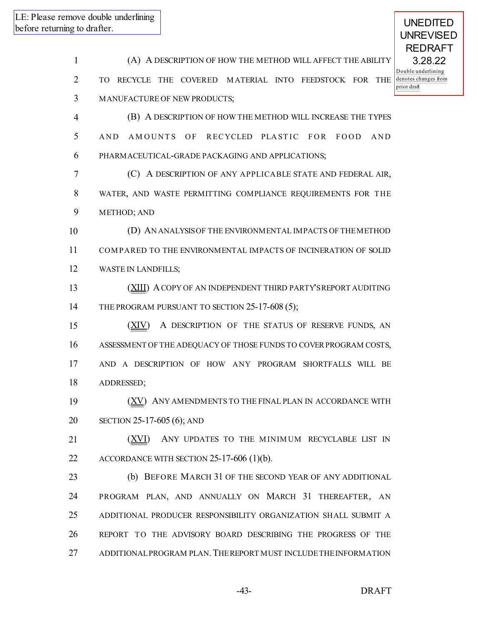UNEDITED

 (A) A DESCRIPTION OF HOW THE METHOD WILL AFFECT THE ABILITY TO RECYCLE THE COVERED M ATERIAL INTO FEEDSTOCK FOR THE MANUFACTURE OF NEW PRODUCTS; (B) A DESCRIPTION OF HOW THE METHOD WILL INCREASE THE TYPES 5 AND AMOUNTS OF RECYCLED PLASTIC FOR FOOD AND PHARMACEUTICAL-GRADE PACKAGING AND APPLICATIONS; (C) A DESCRIPTION OF ANY APPLICABLE STATE AND FEDERAL AIR, WATER, AND WASTE PERMITTING COMPLIANCE REQUIREMENTS FOR THE METHOD; AND (D) AN ANALYSISOF THE ENVIRONMENTAL IMPACTS OF THEMETHOD COM PARED TO THE ENVIRONMENTAL IMPACTS OF INCINERATION OF SOLID WASTE IN LANDFILLS; 13 (XIII) A COPY OF AN INDEPENDENT THIRD PARTY'S REPORT AUDITING 14 THE PROGRAM PURSUANT TO SECTION 25-17-608 (5); 15 (XIV) A DESCRIPTION OF THE STATUS OF RESERVE FUNDS, AN ASSESSMENT OF THE ADEQUACY OF THOSE FUNDS TO COVERPROGRAM COSTS, AND A DESCRIPTION OF HOW ANY PROGRAM SHORTFALLS WILL BE ADDRESSED; 19 (XV) ANY AMENDMENTS TO THE FINAL PLAN IN ACCORDANCE WITH SECTION 25-17-605 (6); AND 21 (XVI) ANY UPDATES TO THE MINIMUM RECYCLABLE LIST IN 22 ACCORDANCE WITH SECTION 25-17-606 (1)(b). (b) BEFORE MARCH 31 OF THE SECOND YEAR OF ANY ADDITIONAL PROGRAM PLAN, AND ANNUALLY ON MARCH 31 THEREAFTER, AN ADDITIONAL PRODUCER RESPONSIBILITY ORGANIZATION SHALL SUBMIT A REPORT TO THE ADVISORY BOARD DESCRIBING THE PROGRESS OF THE 27 ADDITIONAL PROGRAM PLAN. THE REPORT MUST INCLUDE THE INFORMATION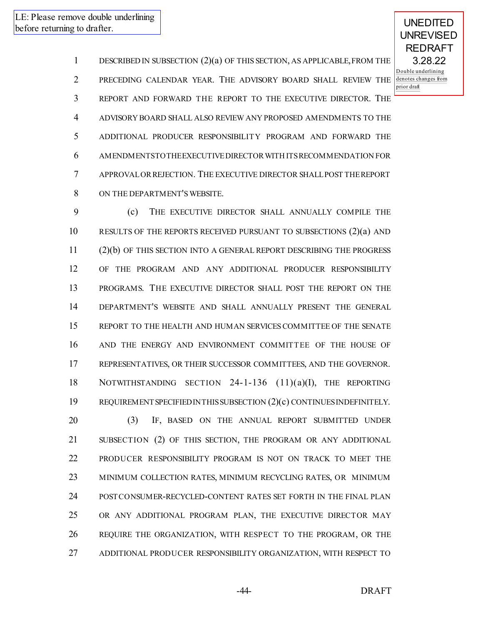UNEDITED UNREVISED

 DESCRIBED IN SUBSECTION (2)(a) OF THIS SECTION, AS APPLICABLE,FROM THE PRECEDING CALENDAR YEAR. THE ADVISORY BOARD SHALL REVIEW THE REPORT AND FORWARD THE REPORT TO THE EXECUTIVE DIRECTOR. THE ADVISORY BOARD SHALL ALSO REVIEW ANY PROPOSED AMENDMENTS TO THE ADDITIONAL PRODUCER RESPONSIBILITY PROGRAM AND FORWARD THE AMENDMENTSTO THEEXECUTIVEDIRECTORWITH ITSRECOMMENDATION FOR APPROVALORREJECTION. THE EXECUTIVE DIRECTOR SHALLPOST THEREPORT ON THE DEPARTMENT'S WEBSITE.

 (c) THE EXECUTIVE DIRECTOR SHALL ANNUALLY COMPILE THE RESULTS OF THE REPORTS RECEIVED PURSUANT TO SUBSECTIONS (2)(a) AND (2)(b) OF THIS SECTION INTO A GENERAL REPORT DESCRIBING THE PROGRESS OF THE PROGRAM AND ANY ADDITIONAL PRODUCER RESPONSIBILITY PROGRAMS. THE EXECUTIVE DIRECTOR SHALL POST THE REPORT ON THE DEPARTMENT'S WEBSITE AND SHALL ANNUALLY PRESENT THE GENERAL REPORT TO THE HEALTH AND HUMAN SERVICESCOMMITTEE OF THE SENATE AND THE ENERGY AND ENVIRONMENT COMMITTEE OF THE HOUSE OF REPRESENTATIVES, OR THEIR SUCCESSOR COMMITTEES, AND THE GOVERNOR. NOTWITHSTANDING SECTION 24-1-136 (11)(a)(I), THE REPORTING REQUIREMENTSPECIFIED IN THISSUBSECTION (2)(c) CONTINUESINDEFINITELY. (3) IF, BASED ON THE ANNUAL REPORT SUBMITTED UNDER SUBSECTION (2) OF THIS SECTION, THE PROGRAM OR ANY ADDITIONAL PRODUCER RESPONSIBILITY PROGRAM IS NOT ON TRACK TO MEET THE MINIMUM COLLECTION RATES, MINIMUM RECYCLING RATES, OR MINIMUM POSTCONSUMER-RECYCLED-CONTENT RATES SET FORTH IN THE FINAL PLAN

 OR ANY ADDITIONAL PROGRAM PLAN, THE EXECUTIVE DIRECTOR MAY REQUIRE THE ORGANIZATION, WITH RESPECT TO THE PROGRAM, OR THE ADDITIONAL PRODUCER RESPONSIBILITY ORGANIZATION, WITH RESPECT TO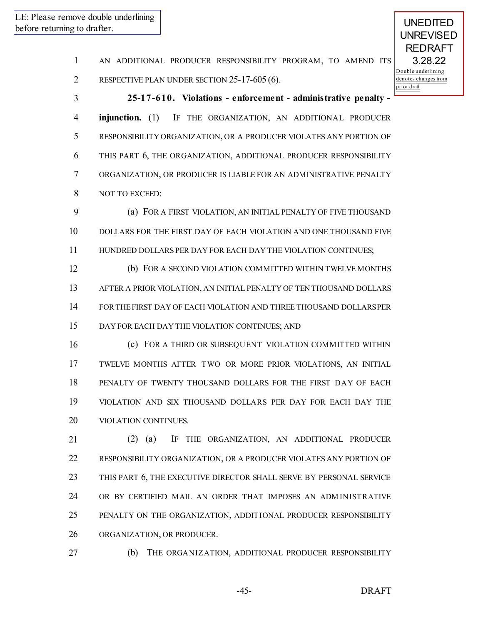- AN ADDITIONAL PRODUCER RESPONSIBILITY PROGRAM, TO AMEND ITS
- RESPECTIVE PLAN UNDER SECTION 25-17-605 (6).

 **25-17-610. Violations - enforcement - administrative penalty - injunction.** (1) IF THE ORGANIZATION, AN ADDITIONAL PRODUCER RESPONSIBILITY ORGANIZATION, OR A PRODUCER VIOLATES ANY PORTION OF THIS PART 6, THE ORGANIZATION, ADDITIONAL PRODUCER RESPONSIBILITY ORGANIZATION, OR PRODUCER IS LIABLE FOR AN ADMINISTRATIVE PENALTY NOT TO EXCEED:

 (a) FOR A FIRST VIOLATION, AN INITIAL PENALTY OF FIVE THOUSAND DOLLARS FOR THE FIRST DAY OF EACH VIOLATION AND ONE THOUSAND FIVE HUNDRED DOLLARS PER DAY FOR EACH DAY THE VIOLATION CONTINUES;

 (b) FOR A SECOND VIOLATION COMMITTED WITHIN TWELVE MONTHS AFTER A PRIOR VIOLATION, AN INITIAL PENALTY OF TEN THOUSAND DOLLARS FORTHEFIRST DAY OF EACH VIOLATION AND THREE THOUSAND DOLLARSPER DAY FOR EACH DAY THE VIOLATION CONTINUES; AND

 (c) FOR A THIRD OR SUBSEQUENT VIOLATION COMMITTED WITHIN TWELVE MONTHS AFTER TWO OR MORE PRIOR VIOLATIONS, AN INITIAL PENALTY OF TWENTY THOUSAND DOLLARS FOR THE FIRST DAY OF EACH VIOLATION AND SIX THOUSAND DOLLARS PER DAY FOR EACH DAY THE VIOLATION CONTINUES.

 (2) (a) IF THE ORGANIZATION, AN ADDITIONAL PRODUCER RESPONSIBILITY ORGANIZATION, OR A PRODUCER VIOLATES ANY PORTION OF THIS PART 6, THE EXECUTIVE DIRECTOR SHALL SERVE BY PERSONAL SERVICE OR BY CERTIFIED MAIL AN ORDER THAT IMPOSES AN ADM INISTRATIVE PENALTY ON THE ORGANIZATION, ADDITIONAL PRODUCER RESPONSIBILITY ORGANIZATION, OR PRODUCER.

(b) THE ORGANIZATION, ADDITIONAL PRODUCER RESPONSIBILITY

-45- DRAFT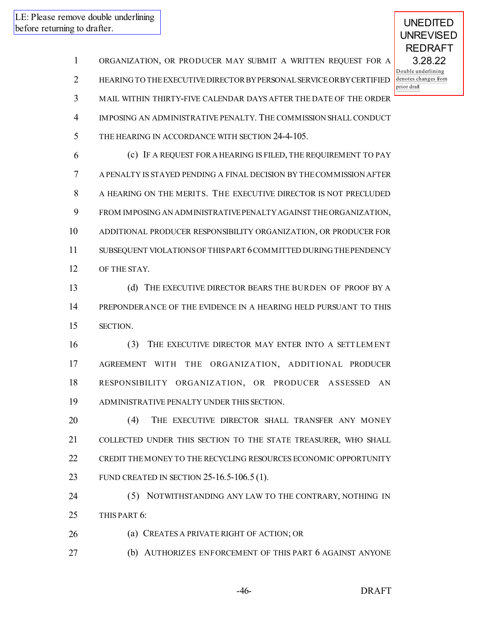ORGANIZATION, OR PRODUCER MAY SUBMIT A WRITTEN REQUEST FOR A HEARING TO THEEXECUTIVEDIRECTORBYPERSONALSERVICEORBYCERTIFIED MAIL WITHIN THIRTY-FIVE CALENDAR DAYS AFTER THE DATE OF THE ORDER IMPOSING AN ADMINISTRATIVE PENALTY. THE COMMISSION SHALL CONDUCT 5 THE HEARING IN ACCORDANCE WITH SECTION 24-4-105. (c) IF A REQUEST FORA HEARING IS FILED, THE REQUIREMENT TO PAY A PENALTY IS STAYED PENDING A FINAL DECISION BY THECOMMISSION AFTER A HEARING ON THE MERITS. THE EXECUTIVE DIRECTOR IS NOT PRECLUDED FROM IMPOSING AN ADMINISTRATIVEPENALTYAGAINST THEORGANIZATION, ADDITIONAL PRODUCER RESPONSIBILITY ORGANIZATION, OR PRODUCER FOR SUBSEQUENT VIOLATIONSOF THISPART 6COMMITTED DURING THEPENDENCY OF THE STAY. (d) THE EXECUTIVE DIRECTOR BEARS THE BURDEN OF PROOF BY A PREPONDERANCE OF THE EVIDENCE IN A HEARING HELD PURSUANT TO THIS SECTION. (3) THE EXECUTIVE DIRECTOR MAY ENTER INTO A SETTLEM ENT AGREEMENT WITH THE ORGANIZATION, ADDITIONAL PRODUCER RESPONSIBILITY ORGANIZATION, OR PRODUCER A SSESSED AN ADMINISTRATIVE PENALTY UNDER THIS SECTION. **(4) THE EXECUTIVE DIRECTOR SHALL TRANSFER ANY MONEY**  COLLECTED UNDER THIS SECTION TO THE STATE TREASURER, WHO SHALL CREDIT THEMONEY TO THE RECYCLING RESOURCES ECONOMIC OPPORTUNITY FUND CREATED IN SECTION 25-16.5-106.5 (1). (5) NOTWITHSTANDING ANY LAW TO THE CONTRARY, NOTHING IN THIS PART 6: **(a) CREATES A PRIVATE RIGHT OF ACTION; OR** (b) AUTHORIZES ENFORCEMENT OF THIS PART 6 AGAINST ANYONE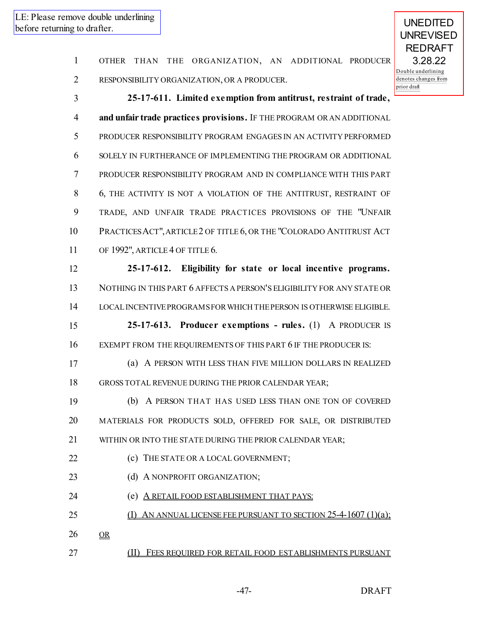| $\mathbf{m}$ g to than $\mathbf{m}$ . |                                                                         |
|---------------------------------------|-------------------------------------------------------------------------|
| $\mathbf{1}$                          | ORGANIZATION, AN ADDITIONAL PRODUCER<br>OTHER THAN THE                  |
| $\overline{2}$                        | D(<br>$\overline{de}$<br>RESPONSIBILITY ORGANIZATION, OR A PRODUCER.    |
| 3                                     | pri<br>25-17-611. Limited exemption from antitrust, restraint of trade, |
| 4                                     | and unfair trade practices provisions. IF THE PROGRAM OR AN ADDITIONAL  |
| 5                                     | PRODUCER RESPONSIBILITY PROGRAM ENGAGES IN AN ACTIVITY PERFORMED        |
| 6                                     | SOLELY IN FURTHERANCE OF IMPLEMENTING THE PROGRAM OR ADDITIONAL         |
| 7                                     | PRODUCER RESPONSIBILITY PROGRAM AND IN COMPLIANCE WITH THIS PART        |
| 8                                     | 6, THE ACTIVITY IS NOT A VIOLATION OF THE ANTITRUST, RESTRAINT OF       |
| 9                                     | TRADE, AND UNFAIR TRADE PRACTICES PROVISIONS OF THE "UNFAIR             |
| 10                                    | PRACTICES ACT", ARTICLE 2 OF TITLE 6, OR THE "COLORADO ANTITRUST ACT    |
| 11                                    | OF 1992", ARTICLE 4 OF TITLE 6.                                         |
| 12                                    | 25-17-612. Eligibility for state or local incentive programs.           |
| 13                                    | NOTHING IN THIS PART 6 AFFECTS A PERSON'S ELIGIBILITY FOR ANY STATE OR  |
| 14                                    | LOCAL INCENTIVE PROGRAMS FOR WHICH THE PERSON IS OTHERWISE ELIGIBLE.    |
| 15                                    | 25-17-613. Producer exemptions - rules. (1) A PRODUCER IS               |
| 16                                    | EXEMPT FROM THE REQUIREMENTS OF THIS PART 6 IF THE PRODUCER IS:         |
| 17                                    | (a) A PERSON WITH LESS THAN FIVE MILLION DOLLARS IN REALIZED            |
| 18                                    |                                                                         |
| 19                                    | GROSS TOTAL REVENUE DURING THE PRIOR CALENDAR YEAR;                     |
|                                       | (b) A PERSON THAT HAS USED LESS THAN ONE TON OF COVERED                 |
| 20                                    | MATERIALS FOR PRODUCTS SOLD, OFFERED FOR SALE, OR DISTRIBUTED           |
| 21                                    | WITHIN OR INTO THE STATE DURING THE PRIOR CALENDAR YEAR;                |
| 22                                    | (c) THE STATE OR A LOCAL GOVERNMENT;                                    |
| 23                                    | (d) A NONPROFIT ORGANIZATION;                                           |
| 24                                    | (e) A RETAIL FOOD ESTABLISHMENT THAT PAYS:                              |
| 25                                    | (I) AN ANNUAL LICENSE FEE PURSUANT TO SECTION 25-4-1607 (1)(a);         |
| 26                                    | OR                                                                      |
| 27                                    | (II)<br>FEES REQUIRED FOR RETAIL FOOD ESTABLISHMENTS PURSUANT           |
|                                       | -47-<br><b>DRAFT</b>                                                    |
|                                       |                                                                         |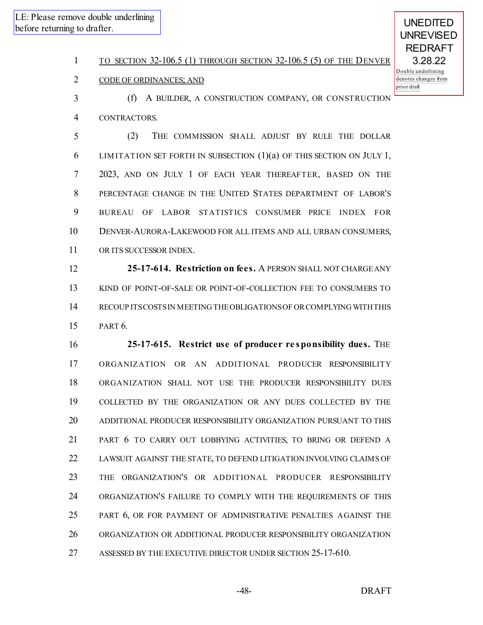# 1 TO SECTION 32-106.5 (1) THROUGH SECTION 32-106.5 (5) OF THE DENVER

(f) A BUILDER, A CONSTRUCTION COMPANY, OR CONSTRUCTION

## CODE OF ORDINANCES; AND

 CONTRACTORS. (2) THE COMMISSION SHALL ADJUST BY RULE THE DOLLAR LIM ITATION SET FORTH IN SUBSECTION (1)(a) OF THIS SECTION ON JULY 1, 2023, AND ON JULY 1 OF EACH YEAR THEREAFTER, BASED ON THE PERCENTAGE CHANGE IN THE UNITED STATES DEPARTMENT OF LABOR'S BUREAU OF LABOR STATISTICS CONSUMER PRICE INDEX FOR DENVER-AURORA-LAKEWOOD FOR ALL ITEMS AND ALL URBAN CONSUMERS,

OR ITS SUCCESSOR INDEX.

 **25-17-614. Restriction on fees.** A PERSON SHALL NOT CHARGEANY KIND OF POINT-OF-SALE OR POINT-OF-COLLECTION FEE TO CONSUMERS TO RECOUP ITSCOSTSIN MEETING THEOBLIGATIONSOF ORCOMPLYING WITH THIS PART 6.

 **25-17-615. Restrict use of producer re sponsibility dues.** THE ORGANIZATION OR AN ADDITIONAL PRODUCER RESPONSIBILITY ORGANIZATION SHALL NOT USE THE PRODUCER RESPONSIBILITY DUES COLLECTED BY THE ORGANIZATION OR ANY DUES COLLECTED BY THE ADDITIONAL PRODUCER RESPONSIBILITY ORGANIZATION PURSUANT TO THIS PART 6 TO CARRY OUT LOBBYING ACTIVITIES, TO BRING OR DEFEND A LAWSUIT AGAINST THE STATE, TO DEFEND LITIGATION INVOLVING CLAIMS OF THE ORGANIZATION'S OR ADDITIONAL PRODUCER RESPONSIBILITY ORGANIZATION'S FAILURE TO COMPLY WITH THE REQUIREMENTS OF THIS PART 6, OR FOR PAYMENT OF ADMINISTRATIVE PENALTIES AGAINST THE ORGANIZATION OR ADDITIONAL PRODUCER RESPONSIBILITY ORGANIZATION ASSESSED BY THE EXECUTIVE DIRECTOR UNDER SECTION 25-17-610.